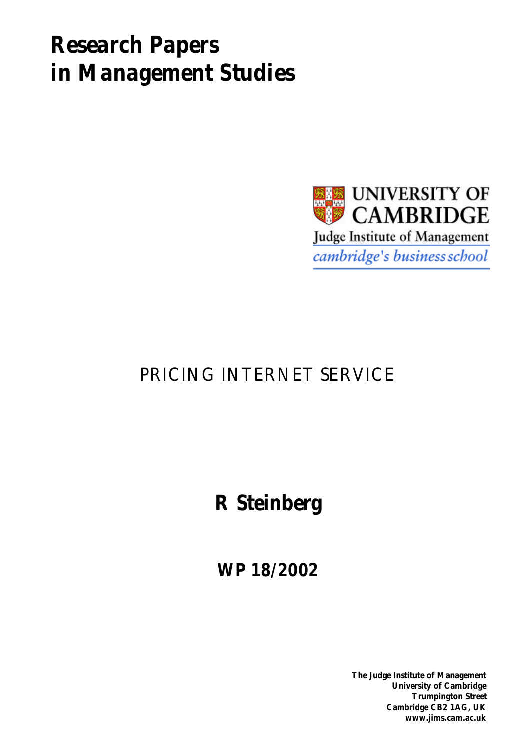# *Research Papers in Management Studies*



# PRICING INTERNET SERVICE

# **R Steinberg**

**WP 18/2002**

**The Judge Institute of Management University of Cambridge Trumpington Street Cambridge CB2 1AG, UK www.jims.cam.ac.uk**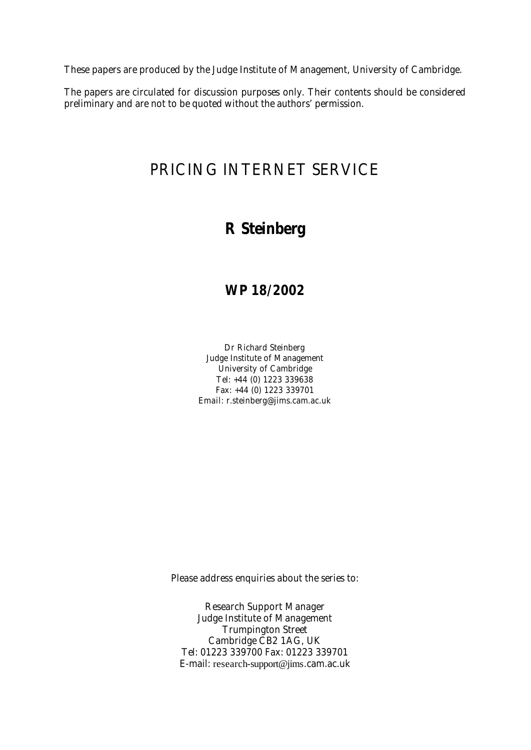These papers are produced by the Judge Institute of Management, University of Cambridge.

The papers are circulated for discussion purposes only. Their contents should be considered preliminary and are not to be quoted without the authors' permission.

## PRICING INTERNET SERVICE

## **R Steinberg**

## **WP 18/2002**

Dr Richard Steinberg Judge Institute of Management University of Cambridge Tel: +44 (0) 1223 339638 Fax: +44 (0) 1223 339701 Email: r.steinberg@jims.cam.ac.uk

Please address enquiries about the series to:

Research Support Manager Judge Institute of Management Trumpington Street Cambridge CB2 1AG, UK Tel: 01223 339700 Fax: 01223 339701 E-mail: research-support@jims.cam.ac.uk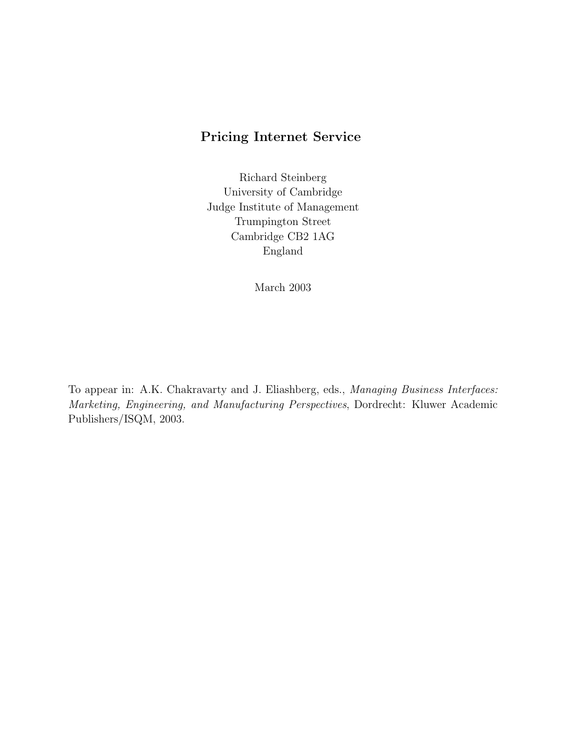## Pricing Internet Service

Richard Steinberg University of Cambridge Judge Institute of Management Trumpington Street Cambridge CB2 1AG England

March 2003

To appear in: A.K. Chakravarty and J. Eliashberg, eds., Managing Business Interfaces: Marketing, Engineering, and Manufacturing Perspectives, Dordrecht: Kluwer Academic Publishers/ISQM, 2003.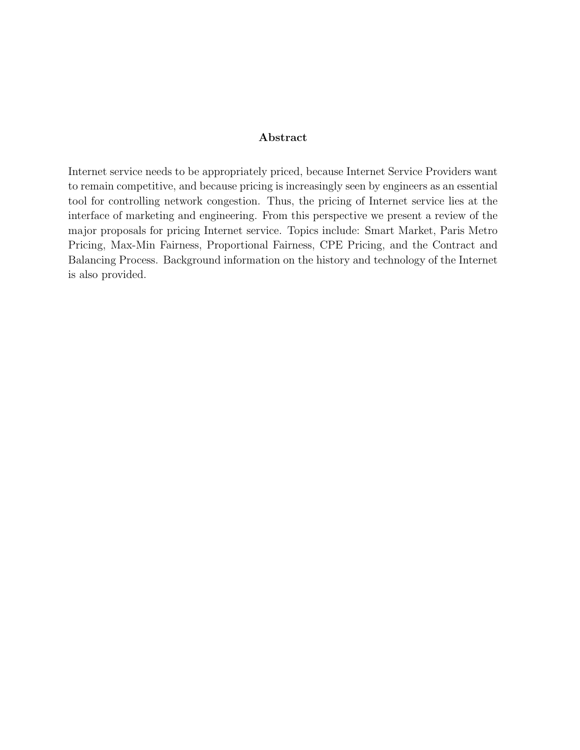#### Abstract

Internet service needs to be appropriately priced, because Internet Service Providers want to remain competitive, and because pricing is increasingly seen by engineers as an essential tool for controlling network congestion. Thus, the pricing of Internet service lies at the interface of marketing and engineering. From this perspective we present a review of the major proposals for pricing Internet service. Topics include: Smart Market, Paris Metro Pricing, Max-Min Fairness, Proportional Fairness, CPE Pricing, and the Contract and Balancing Process. Background information on the history and technology of the Internet is also provided.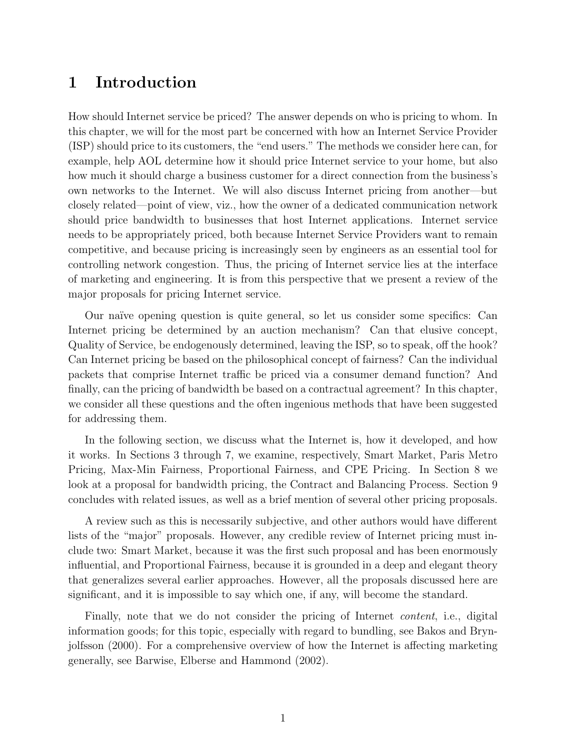## 1 Introduction

How should Internet service be priced? The answer depends on who is pricing to whom. In this chapter, we will for the most part be concerned with how an Internet Service Provider (ISP) should price to its customers, the "end users." The methods we consider here can, for example, help AOL determine how it should price Internet service to your home, but also how much it should charge a business customer for a direct connection from the business's own networks to the Internet. We will also discuss Internet pricing from another—but closely related—point of view, viz., how the owner of a dedicated communication network should price bandwidth to businesses that host Internet applications. Internet service needs to be appropriately priced, both because Internet Service Providers want to remain competitive, and because pricing is increasingly seen by engineers as an essential tool for controlling network congestion. Thus, the pricing of Internet service lies at the interface of marketing and engineering. It is from this perspective that we present a review of the major proposals for pricing Internet service.

Our na¨ıve opening question is quite general, so let us consider some specifics: Can Internet pricing be determined by an auction mechanism? Can that elusive concept, Quality of Service, be endogenously determined, leaving the ISP, so to speak, off the hook? Can Internet pricing be based on the philosophical concept of fairness? Can the individual packets that comprise Internet traffic be priced via a consumer demand function? And finally, can the pricing of bandwidth be based on a contractual agreement? In this chapter, we consider all these questions and the often ingenious methods that have been suggested for addressing them.

In the following section, we discuss what the Internet is, how it developed, and how it works. In Sections 3 through 7, we examine, respectively, Smart Market, Paris Metro Pricing, Max-Min Fairness, Proportional Fairness, and CPE Pricing. In Section 8 we look at a proposal for bandwidth pricing, the Contract and Balancing Process. Section 9 concludes with related issues, as well as a brief mention of several other pricing proposals.

A review such as this is necessarily subjective, and other authors would have different lists of the "major" proposals. However, any credible review of Internet pricing must include two: Smart Market, because it was the first such proposal and has been enormously influential, and Proportional Fairness, because it is grounded in a deep and elegant theory that generalizes several earlier approaches. However, all the proposals discussed here are significant, and it is impossible to say which one, if any, will become the standard.

Finally, note that we do not consider the pricing of Internet content, i.e., digital information goods; for this topic, especially with regard to bundling, see Bakos and Brynjolfsson (2000). For a comprehensive overview of how the Internet is affecting marketing generally, see Barwise, Elberse and Hammond (2002).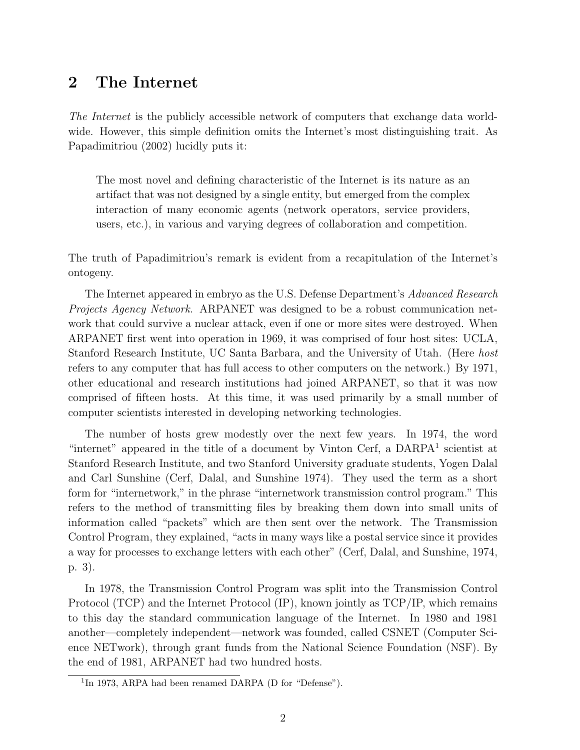## 2 The Internet

The Internet is the publicly accessible network of computers that exchange data worldwide. However, this simple definition omits the Internet's most distinguishing trait. As Papadimitriou (2002) lucidly puts it:

The most novel and defining characteristic of the Internet is its nature as an artifact that was not designed by a single entity, but emerged from the complex interaction of many economic agents (network operators, service providers, users, etc.), in various and varying degrees of collaboration and competition.

The truth of Papadimitriou's remark is evident from a recapitulation of the Internet's ontogeny.

The Internet appeared in embryo as the U.S. Defense Department's Advanced Research Projects Agency Network. ARPANET was designed to be a robust communication network that could survive a nuclear attack, even if one or more sites were destroyed. When ARPANET first went into operation in 1969, it was comprised of four host sites: UCLA, Stanford Research Institute, UC Santa Barbara, and the University of Utah. (Here host refers to any computer that has full access to other computers on the network.) By 1971, other educational and research institutions had joined ARPANET, so that it was now comprised of fifteen hosts. At this time, it was used primarily by a small number of computer scientists interested in developing networking technologies.

The number of hosts grew modestly over the next few years. In 1974, the word "internet" appeared in the title of a document by Vinton Cerf, a DARPA<sup>1</sup> scientist at Stanford Research Institute, and two Stanford University graduate students, Yogen Dalal and Carl Sunshine (Cerf, Dalal, and Sunshine 1974). They used the term as a short form for "internetwork," in the phrase "internetwork transmission control program." This refers to the method of transmitting files by breaking them down into small units of information called "packets" which are then sent over the network. The Transmission Control Program, they explained, "acts in many ways like a postal service since it provides a way for processes to exchange letters with each other" (Cerf, Dalal, and Sunshine, 1974, p. 3).

In 1978, the Transmission Control Program was split into the Transmission Control Protocol (TCP) and the Internet Protocol (IP), known jointly as TCP/IP, which remains to this day the standard communication language of the Internet. In 1980 and 1981 another—completely independent—network was founded, called CSNET (Computer Science NETwork), through grant funds from the National Science Foundation (NSF). By the end of 1981, ARPANET had two hundred hosts.

<sup>&</sup>lt;sup>1</sup>In 1973, ARPA had been renamed DARPA (D for "Defense").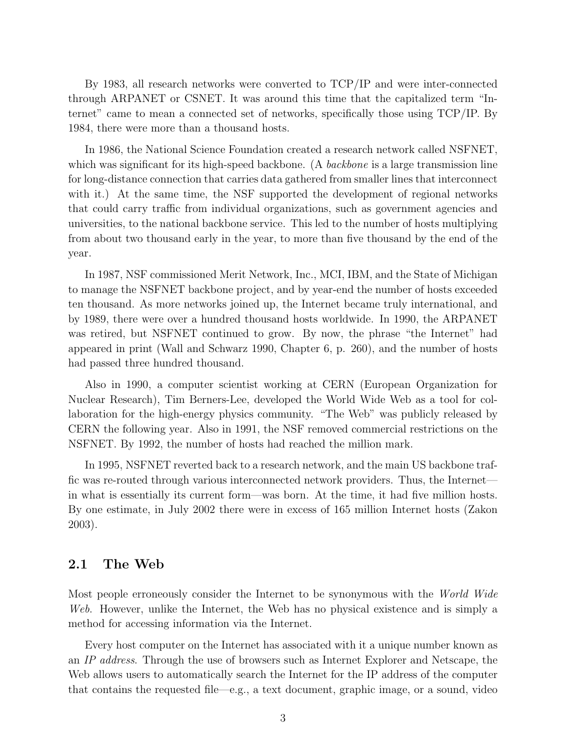By 1983, all research networks were converted to TCP/IP and were inter-connected through ARPANET or CSNET. It was around this time that the capitalized term "Internet" came to mean a connected set of networks, specifically those using TCP/IP. By 1984, there were more than a thousand hosts.

In 1986, the National Science Foundation created a research network called NSFNET, which was significant for its high-speed backbone. (A *backbone* is a large transmission line for long-distance connection that carries data gathered from smaller lines that interconnect with it.) At the same time, the NSF supported the development of regional networks that could carry traffic from individual organizations, such as government agencies and universities, to the national backbone service. This led to the number of hosts multiplying from about two thousand early in the year, to more than five thousand by the end of the year.

In 1987, NSF commissioned Merit Network, Inc., MCI, IBM, and the State of Michigan to manage the NSFNET backbone project, and by year-end the number of hosts exceeded ten thousand. As more networks joined up, the Internet became truly international, and by 1989, there were over a hundred thousand hosts worldwide. In 1990, the ARPANET was retired, but NSFNET continued to grow. By now, the phrase "the Internet" had appeared in print (Wall and Schwarz 1990, Chapter 6, p. 260), and the number of hosts had passed three hundred thousand.

Also in 1990, a computer scientist working at CERN (European Organization for Nuclear Research), Tim Berners-Lee, developed the World Wide Web as a tool for collaboration for the high-energy physics community. "The Web" was publicly released by CERN the following year. Also in 1991, the NSF removed commercial restrictions on the NSFNET. By 1992, the number of hosts had reached the million mark.

In 1995, NSFNET reverted back to a research network, and the main US backbone traffic was re-routed through various interconnected network providers. Thus, the Internet in what is essentially its current form—was born. At the time, it had five million hosts. By one estimate, in July 2002 there were in excess of 165 million Internet hosts (Zakon 2003).

#### 2.1 The Web

Most people erroneously consider the Internet to be synonymous with the World Wide Web. However, unlike the Internet, the Web has no physical existence and is simply a method for accessing information via the Internet.

Every host computer on the Internet has associated with it a unique number known as an IP address. Through the use of browsers such as Internet Explorer and Netscape, the Web allows users to automatically search the Internet for the IP address of the computer that contains the requested file—e.g., a text document, graphic image, or a sound, video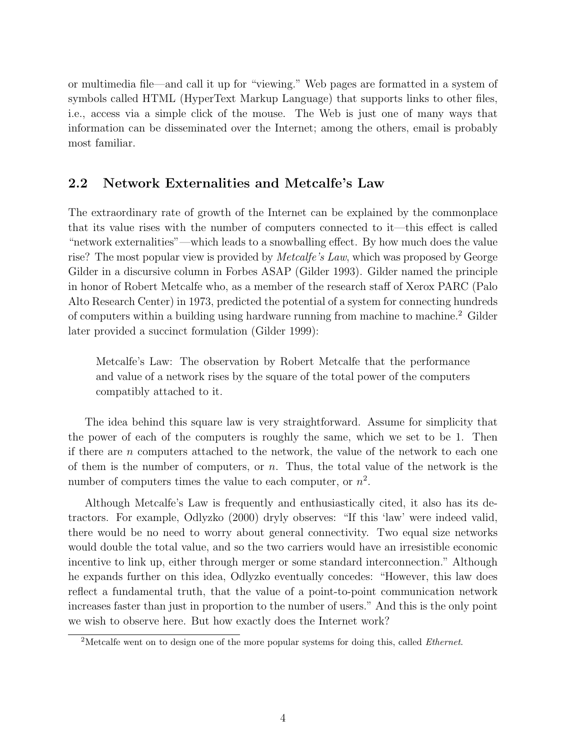or multimedia file—and call it up for "viewing." Web pages are formatted in a system of symbols called HTML (HyperText Markup Language) that supports links to other files, i.e., access via a simple click of the mouse. The Web is just one of many ways that information can be disseminated over the Internet; among the others, email is probably most familiar.

#### 2.2 Network Externalities and Metcalfe's Law

The extraordinary rate of growth of the Internet can be explained by the commonplace that its value rises with the number of computers connected to it—this effect is called "network externalities"—which leads to a snowballing effect. By how much does the value rise? The most popular view is provided by Metcalfe's Law, which was proposed by George Gilder in a discursive column in Forbes ASAP (Gilder 1993). Gilder named the principle in honor of Robert Metcalfe who, as a member of the research staff of Xerox PARC (Palo Alto Research Center) in 1973, predicted the potential of a system for connecting hundreds of computers within a building using hardware running from machine to machine.<sup>2</sup> Gilder later provided a succinct formulation (Gilder 1999):

Metcalfe's Law: The observation by Robert Metcalfe that the performance and value of a network rises by the square of the total power of the computers compatibly attached to it.

The idea behind this square law is very straightforward. Assume for simplicity that the power of each of the computers is roughly the same, which we set to be 1. Then if there are  $n$  computers attached to the network, the value of the network to each one of them is the number of computers, or  $n$ . Thus, the total value of the network is the number of computers times the value to each computer, or  $n^2$ .

Although Metcalfe's Law is frequently and enthusiastically cited, it also has its detractors. For example, Odlyzko (2000) dryly observes: "If this 'law' were indeed valid, there would be no need to worry about general connectivity. Two equal size networks would double the total value, and so the two carriers would have an irresistible economic incentive to link up, either through merger or some standard interconnection." Although he expands further on this idea, Odlyzko eventually concedes: "However, this law does reflect a fundamental truth, that the value of a point-to-point communication network increases faster than just in proportion to the number of users." And this is the only point we wish to observe here. But how exactly does the Internet work?

<sup>&</sup>lt;sup>2</sup>Metcalfe went on to design one of the more popular systems for doing this, called *Ethernet*.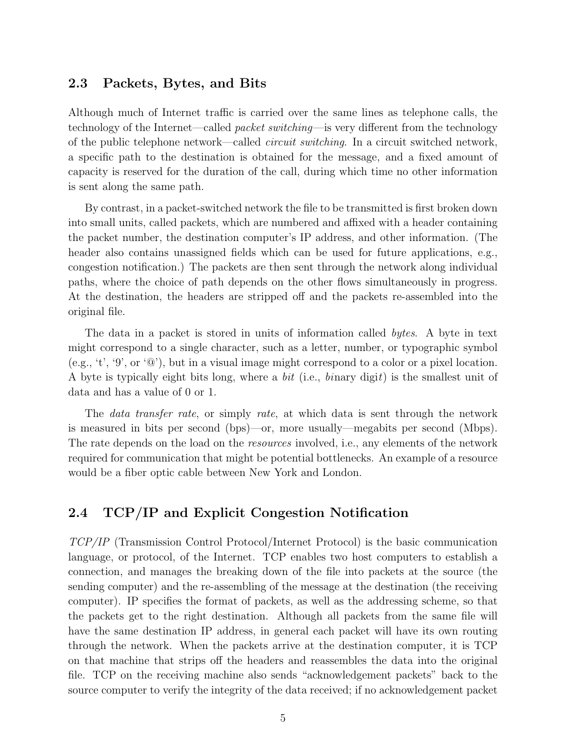#### 2.3 Packets, Bytes, and Bits

Although much of Internet traffic is carried over the same lines as telephone calls, the technology of the Internet—called packet switching—is very different from the technology of the public telephone network—called circuit switching. In a circuit switched network, a specific path to the destination is obtained for the message, and a fixed amount of capacity is reserved for the duration of the call, during which time no other information is sent along the same path.

By contrast, in a packet-switched network the file to be transmitted is first broken down into small units, called packets, which are numbered and affixed with a header containing the packet number, the destination computer's IP address, and other information. (The header also contains unassigned fields which can be used for future applications, e.g., congestion notification.) The packets are then sent through the network along individual paths, where the choice of path depends on the other flows simultaneously in progress. At the destination, the headers are stripped off and the packets re-assembled into the original file.

The data in a packet is stored in units of information called bytes. A byte in text might correspond to a single character, such as a letter, number, or typographic symbol  $(e.g., 't', '9', or '@'), but in a visual image might correspond to a color or a pixel location.$ A byte is typically eight bits long, where a *bit* (i.e., *binary* digit) is the smallest unit of data and has a value of 0 or 1.

The *data transfer rate*, or simply *rate*, at which data is sent through the network is measured in bits per second (bps)—or, more usually—megabits per second (Mbps). The rate depends on the load on the *resources* involved, i.e., any elements of the network required for communication that might be potential bottlenecks. An example of a resource would be a fiber optic cable between New York and London.

#### 2.4 TCP/IP and Explicit Congestion Notification

TCP/IP (Transmission Control Protocol/Internet Protocol) is the basic communication language, or protocol, of the Internet. TCP enables two host computers to establish a connection, and manages the breaking down of the file into packets at the source (the sending computer) and the re-assembling of the message at the destination (the receiving computer). IP specifies the format of packets, as well as the addressing scheme, so that the packets get to the right destination. Although all packets from the same file will have the same destination IP address, in general each packet will have its own routing through the network. When the packets arrive at the destination computer, it is TCP on that machine that strips off the headers and reassembles the data into the original file. TCP on the receiving machine also sends "acknowledgement packets" back to the source computer to verify the integrity of the data received; if no acknowledgement packet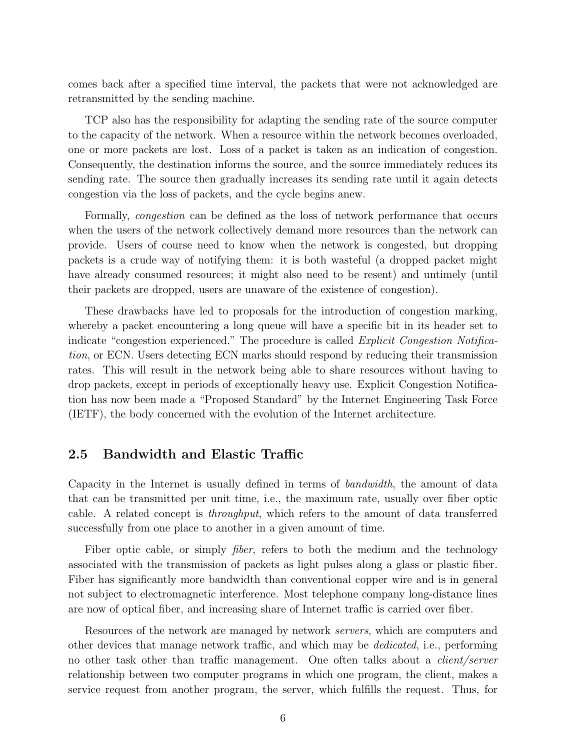comes back after a specified time interval, the packets that were not acknowledged are retransmitted by the sending machine.

TCP also has the responsibility for adapting the sending rate of the source computer to the capacity of the network. When a resource within the network becomes overloaded, one or more packets are lost. Loss of a packet is taken as an indication of congestion. Consequently, the destination informs the source, and the source immediately reduces its sending rate. The source then gradually increases its sending rate until it again detects congestion via the loss of packets, and the cycle begins anew.

Formally, *congestion* can be defined as the loss of network performance that occurs when the users of the network collectively demand more resources than the network can provide. Users of course need to know when the network is congested, but dropping packets is a crude way of notifying them: it is both wasteful (a dropped packet might have already consumed resources; it might also need to be resent) and untimely (until their packets are dropped, users are unaware of the existence of congestion).

These drawbacks have led to proposals for the introduction of congestion marking, whereby a packet encountering a long queue will have a specific bit in its header set to indicate "congestion experienced." The procedure is called Explicit Congestion Notification, or ECN. Users detecting ECN marks should respond by reducing their transmission rates. This will result in the network being able to share resources without having to drop packets, except in periods of exceptionally heavy use. Explicit Congestion Notification has now been made a "Proposed Standard" by the Internet Engineering Task Force (IETF), the body concerned with the evolution of the Internet architecture.

#### 2.5 Bandwidth and Elastic Traffic

Capacity in the Internet is usually defined in terms of bandwidth, the amount of data that can be transmitted per unit time, i.e., the maximum rate, usually over fiber optic cable. A related concept is throughput, which refers to the amount of data transferred successfully from one place to another in a given amount of time.

Fiber optic cable, or simply *fiber*, refers to both the medium and the technology associated with the transmission of packets as light pulses along a glass or plastic fiber. Fiber has significantly more bandwidth than conventional copper wire and is in general not subject to electromagnetic interference. Most telephone company long-distance lines are now of optical fiber, and increasing share of Internet traffic is carried over fiber.

Resources of the network are managed by network *servers*, which are computers and other devices that manage network traffic, and which may be dedicated, i.e., performing no other task other than traffic management. One often talks about a *client/server* relationship between two computer programs in which one program, the client, makes a service request from another program, the server, which fulfills the request. Thus, for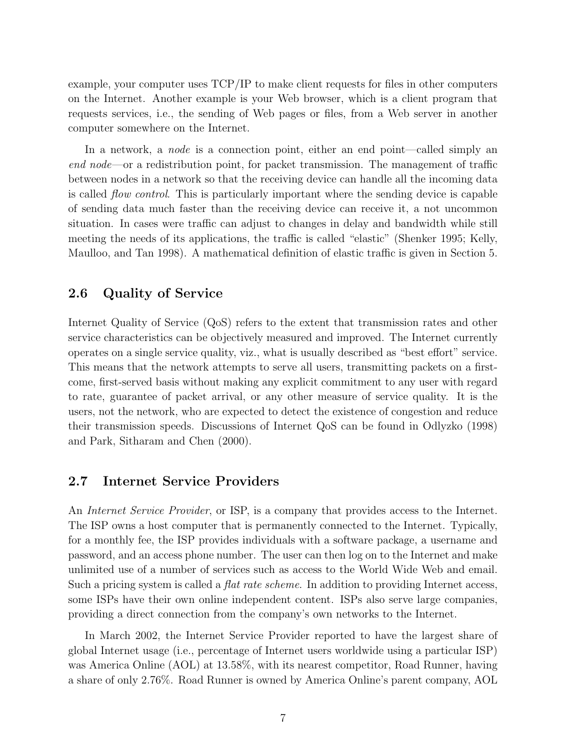example, your computer uses TCP/IP to make client requests for files in other computers on the Internet. Another example is your Web browser, which is a client program that requests services, i.e., the sending of Web pages or files, from a Web server in another computer somewhere on the Internet.

In a network, a *node* is a connection point, either an end point—called simply an end node—or a redistribution point, for packet transmission. The management of traffic between nodes in a network so that the receiving device can handle all the incoming data is called flow control. This is particularly important where the sending device is capable of sending data much faster than the receiving device can receive it, a not uncommon situation. In cases were traffic can adjust to changes in delay and bandwidth while still meeting the needs of its applications, the traffic is called "elastic" (Shenker 1995; Kelly, Maulloo, and Tan 1998). A mathematical definition of elastic traffic is given in Section 5.

#### 2.6 Quality of Service

Internet Quality of Service (QoS) refers to the extent that transmission rates and other service characteristics can be objectively measured and improved. The Internet currently operates on a single service quality, viz., what is usually described as "best effort" service. This means that the network attempts to serve all users, transmitting packets on a firstcome, first-served basis without making any explicit commitment to any user with regard to rate, guarantee of packet arrival, or any other measure of service quality. It is the users, not the network, who are expected to detect the existence of congestion and reduce their transmission speeds. Discussions of Internet QoS can be found in Odlyzko (1998) and Park, Sitharam and Chen (2000).

#### 2.7 Internet Service Providers

An *Internet Service Provider*, or ISP, is a company that provides access to the Internet. The ISP owns a host computer that is permanently connected to the Internet. Typically, for a monthly fee, the ISP provides individuals with a software package, a username and password, and an access phone number. The user can then log on to the Internet and make unlimited use of a number of services such as access to the World Wide Web and email. Such a pricing system is called a *flat rate scheme*. In addition to providing Internet access, some ISPs have their own online independent content. ISPs also serve large companies, providing a direct connection from the company's own networks to the Internet.

In March 2002, the Internet Service Provider reported to have the largest share of global Internet usage (i.e., percentage of Internet users worldwide using a particular ISP) was America Online (AOL) at 13.58%, with its nearest competitor, Road Runner, having a share of only 2.76%. Road Runner is owned by America Online's parent company, AOL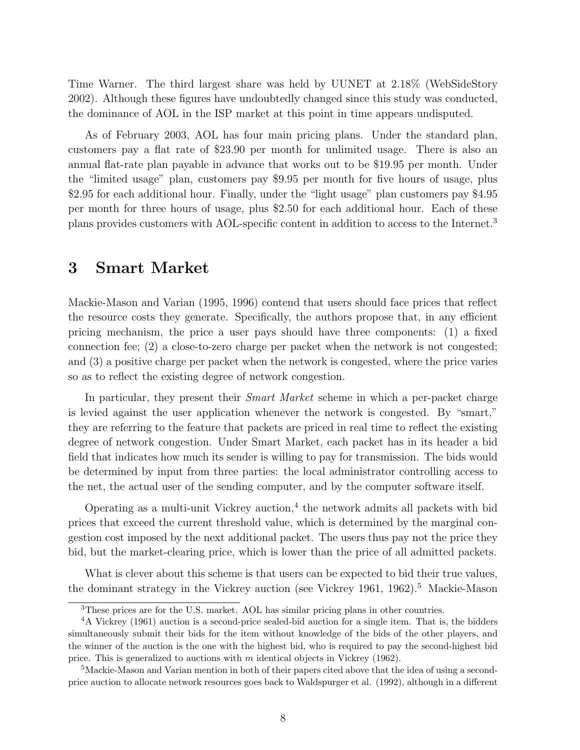Time Warner. The third largest share was held by UUNET at 2.18% (WebSideStory 2002). Although these figures have undoubtedly changed since this study was conducted, the dominance of AOL in the ISP market at this point in time appears undisputed.

As of February 2003, AOL has four main pricing plans. Under the standard plan, customers pay a flat rate of \$23.90 per month for unlimited usage. There is also an annual flat-rate plan payable in advance that works out to be \$19.95 per month. Under the "limited usage" plan, customers pay \$9.95 per month for five hours of usage, plus \$2.95 for each additional hour. Finally, under the "light usage" plan customers pay \$4.95 per month for three hours of usage, plus \$2.50 for each additional hour. Each of these plans provides customers with AOL-specific content in addition to access to the Internet.<sup>3</sup>

## 3 Smart Market

Mackie-Mason and Varian (1995, 1996) contend that users should face prices that reflect the resource costs they generate. Specifically, the authors propose that, in any efficient pricing mechanism, the price a user pays should have three components: (1) a fixed connection fee; (2) a close-to-zero charge per packet when the network is not congested; and (3) a positive charge per packet when the network is congested, where the price varies so as to reflect the existing degree of network congestion.

In particular, they present their *Smart Market* scheme in which a per-packet charge is levied against the user application whenever the network is congested. By "smart," they are referring to the feature that packets are priced in real time to reflect the existing degree of network congestion. Under Smart Market, each packet has in its header a bid field that indicates how much its sender is willing to pay for transmission. The bids would be determined by input from three parties: the local administrator controlling access to the net, the actual user of the sending computer, and by the computer software itself.

Operating as a multi-unit Vickrey auction, $<sup>4</sup>$  the network admits all packets with bid</sup> prices that exceed the current threshold value, which is determined by the marginal congestion cost imposed by the next additional packet. The users thus pay not the price they bid, but the market-clearing price, which is lower than the price of all admitted packets.

What is clever about this scheme is that users can be expected to bid their true values, the dominant strategy in the Vickrey auction (see Vickrey 1961, 1962).<sup>5</sup> Mackie-Mason

<sup>3</sup>These prices are for the U.S. market. AOL has similar pricing plans in other countries.

<sup>4</sup>A Vickrey (1961) auction is a second-price sealed-bid auction for a single item. That is, the bidders simultaneously submit their bids for the item without knowledge of the bids of the other players, and the winner of the auction is the one with the highest bid, who is required to pay the second-highest bid price. This is generalized to auctions with m identical objects in Vickrey (1962).

<sup>&</sup>lt;sup>5</sup>Mackie-Mason and Varian mention in both of their papers cited above that the idea of using a secondprice auction to allocate network resources goes back to Waldspurger et al. (1992), although in a different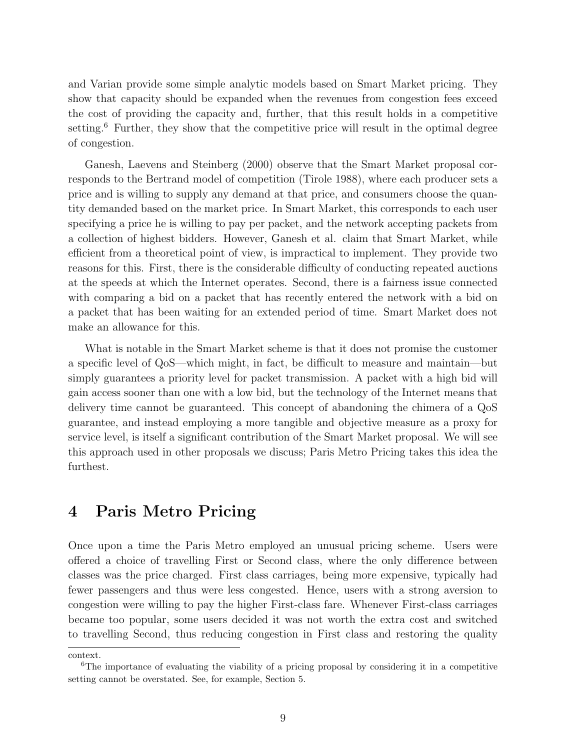and Varian provide some simple analytic models based on Smart Market pricing. They show that capacity should be expanded when the revenues from congestion fees exceed the cost of providing the capacity and, further, that this result holds in a competitive setting.<sup>6</sup> Further, they show that the competitive price will result in the optimal degree of congestion.

Ganesh, Laevens and Steinberg (2000) observe that the Smart Market proposal corresponds to the Bertrand model of competition (Tirole 1988), where each producer sets a price and is willing to supply any demand at that price, and consumers choose the quantity demanded based on the market price. In Smart Market, this corresponds to each user specifying a price he is willing to pay per packet, and the network accepting packets from a collection of highest bidders. However, Ganesh et al. claim that Smart Market, while efficient from a theoretical point of view, is impractical to implement. They provide two reasons for this. First, there is the considerable difficulty of conducting repeated auctions at the speeds at which the Internet operates. Second, there is a fairness issue connected with comparing a bid on a packet that has recently entered the network with a bid on a packet that has been waiting for an extended period of time. Smart Market does not make an allowance for this.

What is notable in the Smart Market scheme is that it does not promise the customer a specific level of QoS—which might, in fact, be difficult to measure and maintain—but simply guarantees a priority level for packet transmission. A packet with a high bid will gain access sooner than one with a low bid, but the technology of the Internet means that delivery time cannot be guaranteed. This concept of abandoning the chimera of a QoS guarantee, and instead employing a more tangible and objective measure as a proxy for service level, is itself a significant contribution of the Smart Market proposal. We will see this approach used in other proposals we discuss; Paris Metro Pricing takes this idea the furthest.

## 4 Paris Metro Pricing

Once upon a time the Paris Metro employed an unusual pricing scheme. Users were offered a choice of travelling First or Second class, where the only difference between classes was the price charged. First class carriages, being more expensive, typically had fewer passengers and thus were less congested. Hence, users with a strong aversion to congestion were willing to pay the higher First-class fare. Whenever First-class carriages became too popular, some users decided it was not worth the extra cost and switched to travelling Second, thus reducing congestion in First class and restoring the quality

context.

<sup>&</sup>lt;sup>6</sup>The importance of evaluating the viability of a pricing proposal by considering it in a competitive setting cannot be overstated. See, for example, Section 5.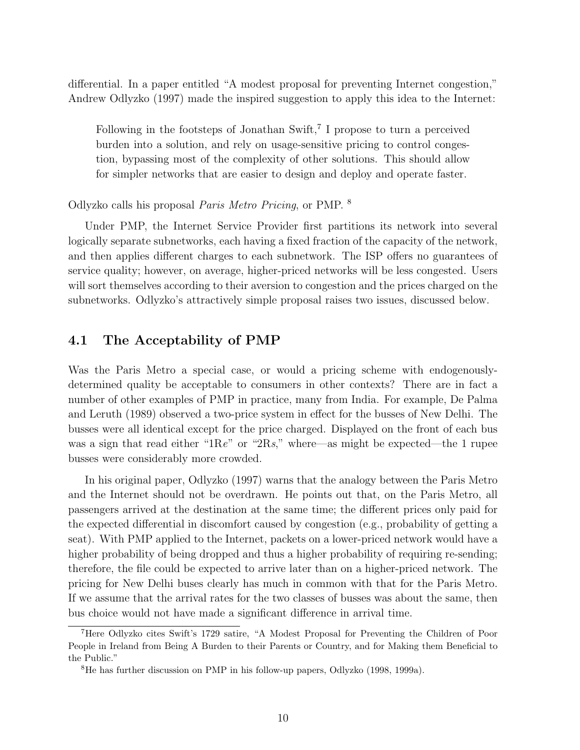differential. In a paper entitled "A modest proposal for preventing Internet congestion," Andrew Odlyzko (1997) made the inspired suggestion to apply this idea to the Internet:

Following in the footsteps of Jonathan Swift,<sup>7</sup> I propose to turn a perceived burden into a solution, and rely on usage-sensitive pricing to control congestion, bypassing most of the complexity of other solutions. This should allow for simpler networks that are easier to design and deploy and operate faster.

#### Odlyzko calls his proposal Paris Metro Pricing, or PMP. <sup>8</sup>

Under PMP, the Internet Service Provider first partitions its network into several logically separate subnetworks, each having a fixed fraction of the capacity of the network, and then applies different charges to each subnetwork. The ISP offers no guarantees of service quality; however, on average, higher-priced networks will be less congested. Users will sort themselves according to their aversion to congestion and the prices charged on the subnetworks. Odlyzko's attractively simple proposal raises two issues, discussed below.

#### 4.1 The Acceptability of PMP

Was the Paris Metro a special case, or would a pricing scheme with endogenouslydetermined quality be acceptable to consumers in other contexts? There are in fact a number of other examples of PMP in practice, many from India. For example, De Palma and Leruth (1989) observed a two-price system in effect for the busses of New Delhi. The busses were all identical except for the price charged. Displayed on the front of each bus was a sign that read either " $1\text{Re}$ " or " $2\text{Rs}$ ," where—as might be expected—the 1 rupee busses were considerably more crowded.

In his original paper, Odlyzko (1997) warns that the analogy between the Paris Metro and the Internet should not be overdrawn. He points out that, on the Paris Metro, all passengers arrived at the destination at the same time; the different prices only paid for the expected differential in discomfort caused by congestion (e.g., probability of getting a seat). With PMP applied to the Internet, packets on a lower-priced network would have a higher probability of being dropped and thus a higher probability of requiring re-sending; therefore, the file could be expected to arrive later than on a higher-priced network. The pricing for New Delhi buses clearly has much in common with that for the Paris Metro. If we assume that the arrival rates for the two classes of busses was about the same, then bus choice would not have made a significant difference in arrival time.

<sup>7</sup>Here Odlyzko cites Swift's 1729 satire, "A Modest Proposal for Preventing the Children of Poor People in Ireland from Being A Burden to their Parents or Country, and for Making them Beneficial to the Public."

<sup>8</sup>He has further discussion on PMP in his follow-up papers, Odlyzko (1998, 1999a).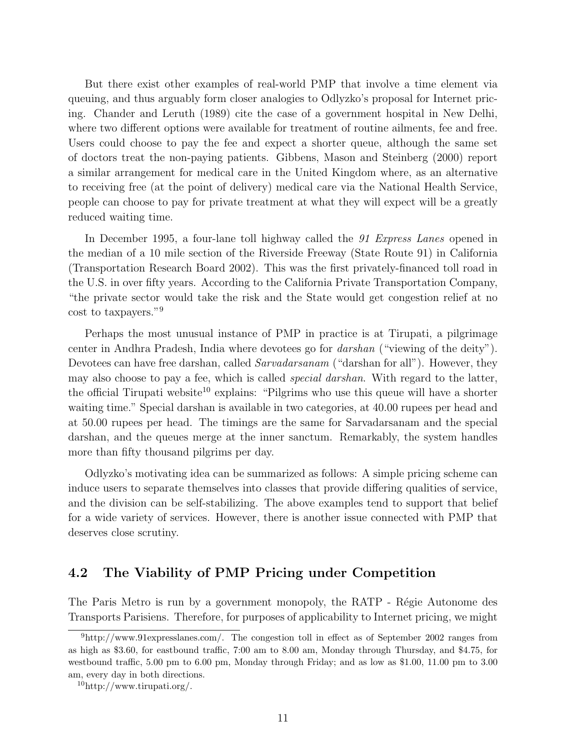But there exist other examples of real-world PMP that involve a time element via queuing, and thus arguably form closer analogies to Odlyzko's proposal for Internet pricing. Chander and Leruth (1989) cite the case of a government hospital in New Delhi, where two different options were available for treatment of routine ailments, fee and free. Users could choose to pay the fee and expect a shorter queue, although the same set of doctors treat the non-paying patients. Gibbens, Mason and Steinberg (2000) report a similar arrangement for medical care in the United Kingdom where, as an alternative to receiving free (at the point of delivery) medical care via the National Health Service, people can choose to pay for private treatment at what they will expect will be a greatly reduced waiting time.

In December 1995, a four-lane toll highway called the 91 Express Lanes opened in the median of a 10 mile section of the Riverside Freeway (State Route 91) in California (Transportation Research Board 2002). This was the first privately-financed toll road in the U.S. in over fifty years. According to the California Private Transportation Company, "the private sector would take the risk and the State would get congestion relief at no cost to taxpayers."<sup>9</sup>

Perhaps the most unusual instance of PMP in practice is at Tirupati, a pilgrimage center in Andhra Pradesh, India where devotees go for darshan ("viewing of the deity"). Devotees can have free darshan, called *Sarvadarsanam* ("darshan for all"). However, they may also choose to pay a fee, which is called special darshan. With regard to the latter, the official Tirupati website<sup>10</sup> explains: "Pilgrims who use this queue will have a shorter waiting time." Special darshan is available in two categories, at 40.00 rupees per head and at 50.00 rupees per head. The timings are the same for Sarvadarsanam and the special darshan, and the queues merge at the inner sanctum. Remarkably, the system handles more than fifty thousand pilgrims per day.

Odlyzko's motivating idea can be summarized as follows: A simple pricing scheme can induce users to separate themselves into classes that provide differing qualities of service, and the division can be self-stabilizing. The above examples tend to support that belief for a wide variety of services. However, there is another issue connected with PMP that deserves close scrutiny.

#### 4.2 The Viability of PMP Pricing under Competition

The Paris Metro is run by a government monopoly, the RATP - Régie Autonome des Transports Parisiens. Therefore, for purposes of applicability to Internet pricing, we might

<sup>9</sup>http://www.91expresslanes.com/. The congestion toll in effect as of September 2002 ranges from as high as \$3.60, for eastbound traffic, 7:00 am to 8.00 am, Monday through Thursday, and \$4.75, for westbound traffic, 5.00 pm to 6.00 pm, Monday through Friday; and as low as \$1.00, 11.00 pm to 3.00 am, every day in both directions.

 $10$ http://www.tirupati.org/.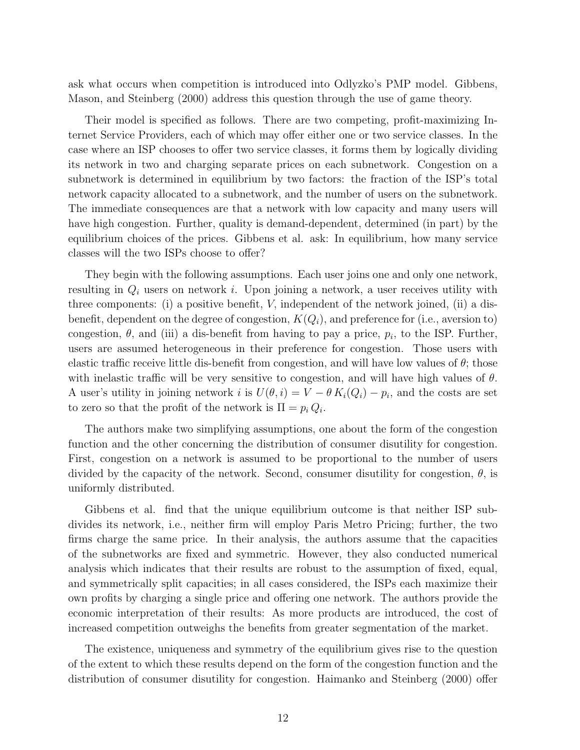ask what occurs when competition is introduced into Odlyzko's PMP model. Gibbens, Mason, and Steinberg (2000) address this question through the use of game theory.

Their model is specified as follows. There are two competing, profit-maximizing Internet Service Providers, each of which may offer either one or two service classes. In the case where an ISP chooses to offer two service classes, it forms them by logically dividing its network in two and charging separate prices on each subnetwork. Congestion on a subnetwork is determined in equilibrium by two factors: the fraction of the ISP's total network capacity allocated to a subnetwork, and the number of users on the subnetwork. The immediate consequences are that a network with low capacity and many users will have high congestion. Further, quality is demand-dependent, determined (in part) by the equilibrium choices of the prices. Gibbens et al. ask: In equilibrium, how many service classes will the two ISPs choose to offer?

They begin with the following assumptions. Each user joins one and only one network, resulting in  $Q_i$  users on network i. Upon joining a network, a user receives utility with three components: (i) a positive benefit, V, independent of the network joined, (ii) a disbenefit, dependent on the degree of congestion,  $K(Q_i)$ , and preference for (i.e., aversion to) congestion,  $\theta$ , and (iii) a dis-benefit from having to pay a price,  $p_i$ , to the ISP. Further, users are assumed heterogeneous in their preference for congestion. Those users with elastic traffic receive little dis-benefit from congestion, and will have low values of  $\theta$ ; those with inelastic traffic will be very sensitive to congestion, and will have high values of  $\theta$ . A user's utility in joining network i is  $U(\theta, i) = V - \theta K_i(Q_i) - p_i$ , and the costs are set to zero so that the profit of the network is  $\Pi = p_i Q_i$ .

The authors make two simplifying assumptions, one about the form of the congestion function and the other concerning the distribution of consumer disutility for congestion. First, congestion on a network is assumed to be proportional to the number of users divided by the capacity of the network. Second, consumer disutility for congestion,  $\theta$ , is uniformly distributed.

Gibbens et al. find that the unique equilibrium outcome is that neither ISP subdivides its network, i.e., neither firm will employ Paris Metro Pricing; further, the two firms charge the same price. In their analysis, the authors assume that the capacities of the subnetworks are fixed and symmetric. However, they also conducted numerical analysis which indicates that their results are robust to the assumption of fixed, equal, and symmetrically split capacities; in all cases considered, the ISPs each maximize their own profits by charging a single price and offering one network. The authors provide the economic interpretation of their results: As more products are introduced, the cost of increased competition outweighs the benefits from greater segmentation of the market.

The existence, uniqueness and symmetry of the equilibrium gives rise to the question of the extent to which these results depend on the form of the congestion function and the distribution of consumer disutility for congestion. Haimanko and Steinberg (2000) offer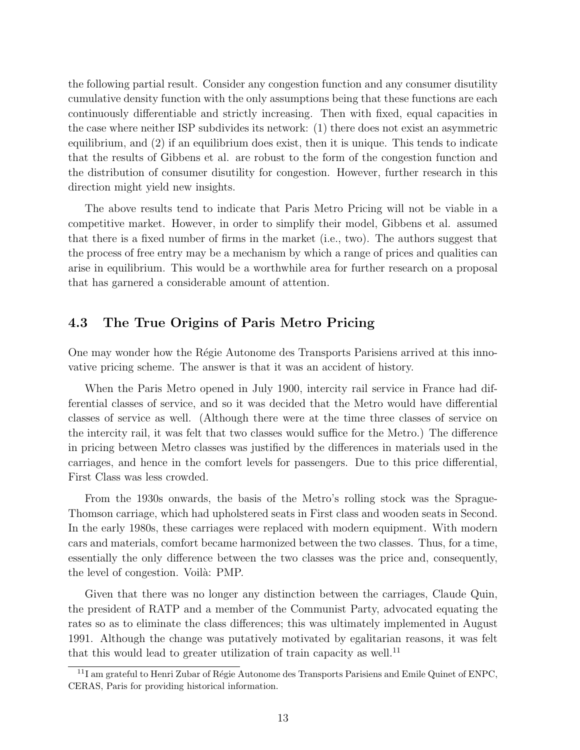the following partial result. Consider any congestion function and any consumer disutility cumulative density function with the only assumptions being that these functions are each continuously differentiable and strictly increasing. Then with fixed, equal capacities in the case where neither ISP subdivides its network: (1) there does not exist an asymmetric equilibrium, and (2) if an equilibrium does exist, then it is unique. This tends to indicate that the results of Gibbens et al. are robust to the form of the congestion function and the distribution of consumer disutility for congestion. However, further research in this direction might yield new insights.

The above results tend to indicate that Paris Metro Pricing will not be viable in a competitive market. However, in order to simplify their model, Gibbens et al. assumed that there is a fixed number of firms in the market (i.e., two). The authors suggest that the process of free entry may be a mechanism by which a range of prices and qualities can arise in equilibrium. This would be a worthwhile area for further research on a proposal that has garnered a considerable amount of attention.

#### 4.3 The True Origins of Paris Metro Pricing

One may wonder how the Régie Autonome des Transports Parisiens arrived at this innovative pricing scheme. The answer is that it was an accident of history.

When the Paris Metro opened in July 1900, intercity rail service in France had differential classes of service, and so it was decided that the Metro would have differential classes of service as well. (Although there were at the time three classes of service on the intercity rail, it was felt that two classes would suffice for the Metro.) The difference in pricing between Metro classes was justified by the differences in materials used in the carriages, and hence in the comfort levels for passengers. Due to this price differential, First Class was less crowded.

From the 1930s onwards, the basis of the Metro's rolling stock was the Sprague-Thomson carriage, which had upholstered seats in First class and wooden seats in Second. In the early 1980s, these carriages were replaced with modern equipment. With modern cars and materials, comfort became harmonized between the two classes. Thus, for a time, essentially the only difference between the two classes was the price and, consequently, the level of congestion. Voilà: PMP.

Given that there was no longer any distinction between the carriages, Claude Quin, the president of RATP and a member of the Communist Party, advocated equating the rates so as to eliminate the class differences; this was ultimately implemented in August 1991. Although the change was putatively motivated by egalitarian reasons, it was felt that this would lead to greater utilization of train capacity as well.<sup>11</sup>

 $11$ I am grateful to Henri Zubar of Régie Autonome des Transports Parisiens and Emile Quinet of ENPC. CERAS, Paris for providing historical information.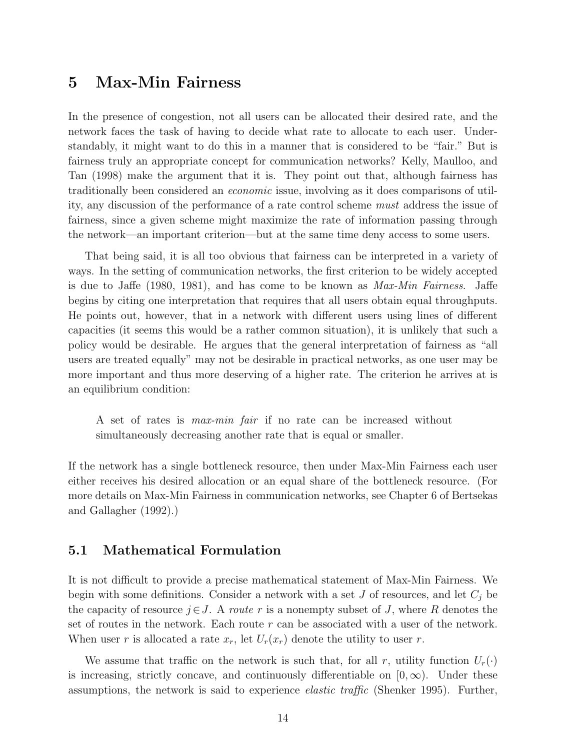## 5 Max-Min Fairness

In the presence of congestion, not all users can be allocated their desired rate, and the network faces the task of having to decide what rate to allocate to each user. Understandably, it might want to do this in a manner that is considered to be "fair." But is fairness truly an appropriate concept for communication networks? Kelly, Maulloo, and Tan (1998) make the argument that it is. They point out that, although fairness has traditionally been considered an economic issue, involving as it does comparisons of utility, any discussion of the performance of a rate control scheme must address the issue of fairness, since a given scheme might maximize the rate of information passing through the network—an important criterion—but at the same time deny access to some users.

That being said, it is all too obvious that fairness can be interpreted in a variety of ways. In the setting of communication networks, the first criterion to be widely accepted is due to Jaffe (1980, 1981), and has come to be known as  $Max-Min$  Fairness. Jaffe begins by citing one interpretation that requires that all users obtain equal throughputs. He points out, however, that in a network with different users using lines of different capacities (it seems this would be a rather common situation), it is unlikely that such a policy would be desirable. He argues that the general interpretation of fairness as "all users are treated equally" may not be desirable in practical networks, as one user may be more important and thus more deserving of a higher rate. The criterion he arrives at is an equilibrium condition:

A set of rates is max-min fair if no rate can be increased without simultaneously decreasing another rate that is equal or smaller.

If the network has a single bottleneck resource, then under Max-Min Fairness each user either receives his desired allocation or an equal share of the bottleneck resource. (For more details on Max-Min Fairness in communication networks, see Chapter 6 of Bertsekas and Gallagher (1992).)

#### 5.1 Mathematical Formulation

It is not difficult to provide a precise mathematical statement of Max-Min Fairness. We begin with some definitions. Consider a network with a set  $J$  of resources, and let  $C_j$  be the capacity of resource  $j \in J$ . A *route* r is a nonempty subset of J, where R denotes the set of routes in the network. Each route r can be associated with a user of the network. When user r is allocated a rate  $x_r$ , let  $U_r(x_r)$  denote the utility to user r.

We assume that traffic on the network is such that, for all r, utility function  $U_r(\cdot)$ is increasing, strictly concave, and continuously differentiable on  $[0, \infty)$ . Under these assumptions, the network is said to experience elastic traffic (Shenker 1995). Further,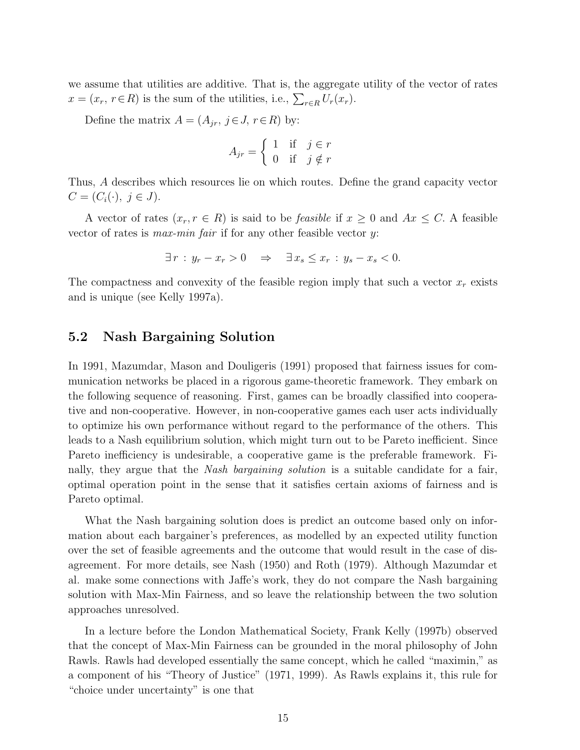we assume that utilities are additive. That is, the aggregate utility of the vector of rates we assume that utilities are additive. That is, the aggregate  $x = (x_r, r \in R)$  is the sum of the utilities, i.e.,  $\sum_{r \in R} U_r(x_r)$ .

Define the matrix  $A = (A_{jr}, j \in J, r \in R)$  by:

$$
A_{jr} = \begin{cases} 1 & \text{if } j \in r \\ 0 & \text{if } j \notin r \end{cases}
$$

Thus, A describes which resources lie on which routes. Define the grand capacity vector  $C = (C_i(\cdot), j \in J).$ 

A vector of rates  $(x_r, r \in R)$  is said to be *feasible* if  $x \geq 0$  and  $Ax \leq C$ . A feasible vector of rates is  $max-min$  fair if for any other feasible vector  $y$ :

$$
\exists r: y_r - x_r > 0 \Rightarrow \exists x_s \le x_r: y_s - x_s < 0.
$$

The compactness and convexity of the feasible region imply that such a vector  $x_r$  exists and is unique (see Kelly 1997a).

#### 5.2 Nash Bargaining Solution

In 1991, Mazumdar, Mason and Douligeris (1991) proposed that fairness issues for communication networks be placed in a rigorous game-theoretic framework. They embark on the following sequence of reasoning. First, games can be broadly classified into cooperative and non-cooperative. However, in non-cooperative games each user acts individually to optimize his own performance without regard to the performance of the others. This leads to a Nash equilibrium solution, which might turn out to be Pareto inefficient. Since Pareto inefficiency is undesirable, a cooperative game is the preferable framework. Finally, they argue that the *Nash bargaining solution* is a suitable candidate for a fair, optimal operation point in the sense that it satisfies certain axioms of fairness and is Pareto optimal.

What the Nash bargaining solution does is predict an outcome based only on information about each bargainer's preferences, as modelled by an expected utility function over the set of feasible agreements and the outcome that would result in the case of disagreement. For more details, see Nash (1950) and Roth (1979). Although Mazumdar et al. make some connections with Jaffe's work, they do not compare the Nash bargaining solution with Max-Min Fairness, and so leave the relationship between the two solution approaches unresolved.

In a lecture before the London Mathematical Society, Frank Kelly (1997b) observed that the concept of Max-Min Fairness can be grounded in the moral philosophy of John Rawls. Rawls had developed essentially the same concept, which he called "maximin," as a component of his "Theory of Justice" (1971, 1999). As Rawls explains it, this rule for "choice under uncertainty" is one that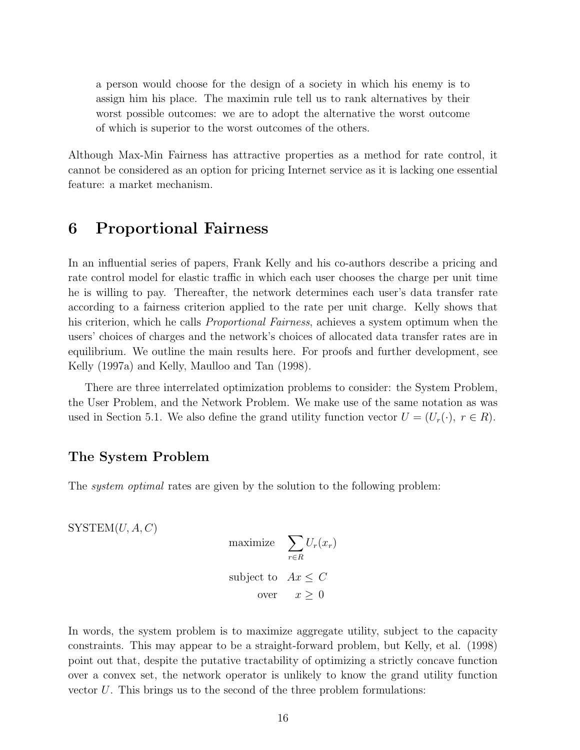a person would choose for the design of a society in which his enemy is to assign him his place. The maximin rule tell us to rank alternatives by their worst possible outcomes: we are to adopt the alternative the worst outcome of which is superior to the worst outcomes of the others.

Although Max-Min Fairness has attractive properties as a method for rate control, it cannot be considered as an option for pricing Internet service as it is lacking one essential feature: a market mechanism.

## 6 Proportional Fairness

In an influential series of papers, Frank Kelly and his co-authors describe a pricing and rate control model for elastic traffic in which each user chooses the charge per unit time he is willing to pay. Thereafter, the network determines each user's data transfer rate according to a fairness criterion applied to the rate per unit charge. Kelly shows that his criterion, which he calls *Proportional Fairness*, achieves a system optimum when the users' choices of charges and the network's choices of allocated data transfer rates are in equilibrium. We outline the main results here. For proofs and further development, see Kelly (1997a) and Kelly, Maulloo and Tan (1998).

There are three interrelated optimization problems to consider: the System Problem, the User Problem, and the Network Problem. We make use of the same notation as was used in Section 5.1. We also define the grand utility function vector  $U = (U_r(\cdot), r \in R)$ .

#### The System Problem

The *system optimal* rates are given by the solution to the following problem:

 $SYSTEM(U, A, C)$ 

maximize 
$$
\sum_{r \in R} U_r(x_r)
$$
  
subject to 
$$
Ax \leq C
$$
  
over 
$$
x \geq 0
$$

In words, the system problem is to maximize aggregate utility, subject to the capacity constraints. This may appear to be a straight-forward problem, but Kelly, et al. (1998) point out that, despite the putative tractability of optimizing a strictly concave function over a convex set, the network operator is unlikely to know the grand utility function vector  $U$ . This brings us to the second of the three problem formulations: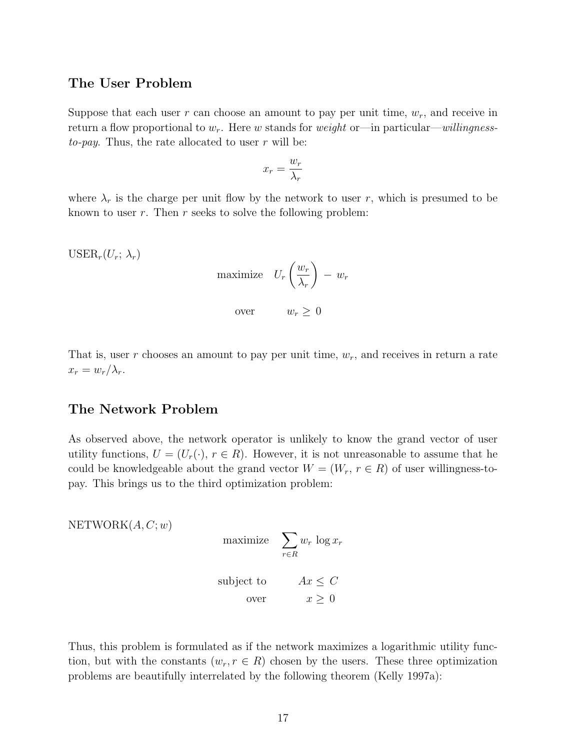#### The User Problem

Suppose that each user r can choose an amount to pay per unit time,  $w_r$ , and receive in return a flow proportional to  $w_r$ . Here w stands for weight or—in particular—willingnessto-pay. Thus, the rate allocated to user  $r$  will be:

$$
x_r = \frac{w_r}{\lambda_r}
$$

where  $\lambda_r$  is the charge per unit flow by the network to user r, which is presumed to be known to user  $r$ . Then  $r$  seeks to solve the following problem:

$$
\text{USER}_r(U_r;\,\lambda_r)
$$
maximize  $U_r\left(\frac{w_r}{\lambda_r}\right) - w_r$   
over  $w_r \geq 0$ 

That is, user r chooses an amount to pay per unit time,  $w_r$ , and receives in return a rate  $x_r = w_r/\lambda_r.$ 

#### The Network Problem

As observed above, the network operator is unlikely to know the grand vector of user utility functions,  $U = (U_r(\cdot), r \in R)$ . However, it is not unreasonable to assume that he could be knowledgeable about the grand vector  $W = (W_r, r \in R)$  of user willingness-topay. This brings us to the third optimization problem:

 $NETWORK(A, C; w)$ 

maximize 
$$
\sum_{r \in R} w_r \log x_r
$$
  
subject to 
$$
Ax \leq C
$$
  
over 
$$
x \geq 0
$$

Thus, this problem is formulated as if the network maximizes a logarithmic utility function, but with the constants  $(w_r, r \in R)$  chosen by the users. These three optimization problems are beautifully interrelated by the following theorem (Kelly 1997a):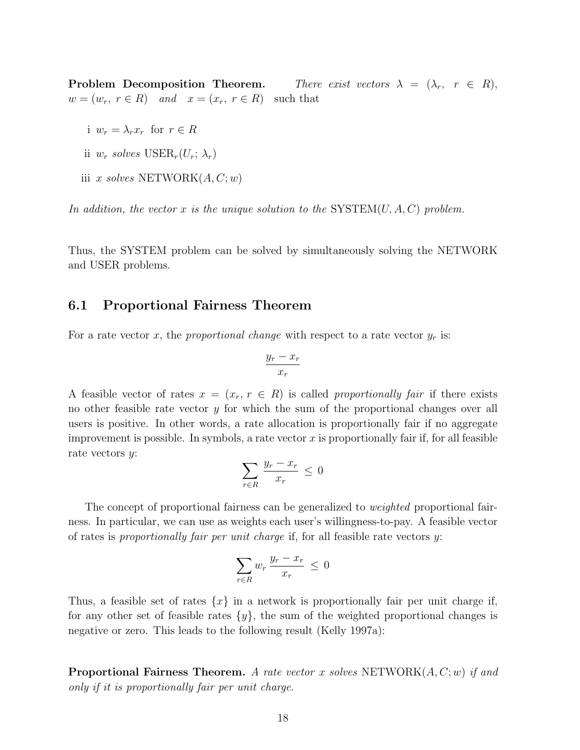**Problem Decomposition Theorem.** There exist vectors  $\lambda = (\lambda_r, r \in R)$ ,  $w = (w_r, r \in R)$  and  $x = (x_r, r \in R)$  such that

- i  $w_r = \lambda_r x_r$  for  $r \in R$
- ii  $w_r$  solves  $\text{USER}_r(U_r; \lambda_r)$
- iii x solves NETWORK $(A, C; w)$

In addition, the vector x is the unique solution to the  $\text{SYSTEM}(U, A, C)$  problem.

Thus, the SYSTEM problem can be solved by simultaneously solving the NETWORK and USER problems.

#### 6.1 Proportional Fairness Theorem

For a rate vector x, the proportional change with respect to a rate vector  $y_r$  is:

$$
\frac{y_r - x_r}{x_r}
$$

A feasible vector of rates  $x = (x_r, r \in R)$  is called proportionally fair if there exists no other feasible rate vector  $y$  for which the sum of the proportional changes over all users is positive. In other words, a rate allocation is proportionally fair if no aggregate improvement is possible. In symbols, a rate vector  $x$  is proportionally fair if, for all feasible rate vectors y:  $\overline{\phantom{a}}$ 

$$
\sum_{r \in R} \frac{y_r - x_r}{x_r} \le 0
$$

The concept of proportional fairness can be generalized to *weighted* proportional fairness. In particular, we can use as weights each user's willingness-to-pay. A feasible vector of rates is proportionally fair per unit charge if, for all feasible rate vectors  $y$ :

$$
\sum_{r \in R} w_r \, \frac{y_r - x_r}{x_r} \, \le \, 0
$$

Thus, a feasible set of rates  $\{x\}$  in a network is proportionally fair per unit charge if, for any other set of feasible rates  $\{y\}$ , the sum of the weighted proportional changes is negative or zero. This leads to the following result (Kelly 1997a):

**Proportional Fairness Theorem.** A rate vector x solves  $NETWORK(A, C; w)$  if and only if it is proportionally fair per unit charge.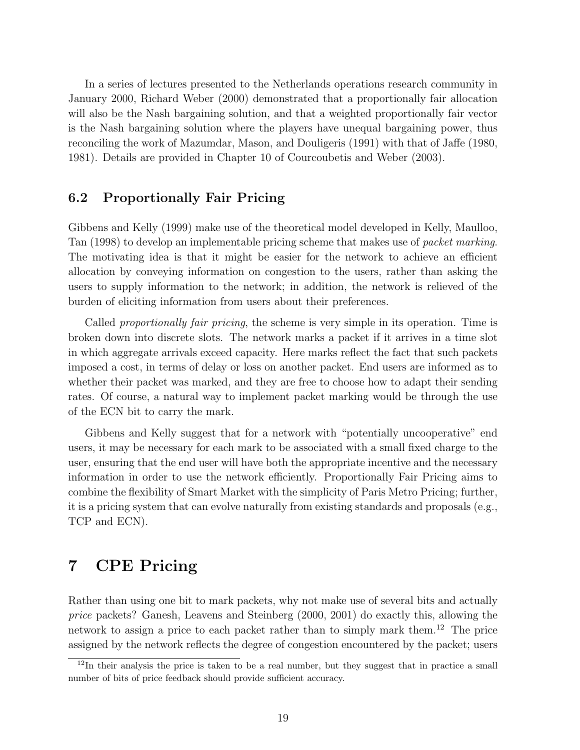In a series of lectures presented to the Netherlands operations research community in January 2000, Richard Weber (2000) demonstrated that a proportionally fair allocation will also be the Nash bargaining solution, and that a weighted proportionally fair vector is the Nash bargaining solution where the players have unequal bargaining power, thus reconciling the work of Mazumdar, Mason, and Douligeris (1991) with that of Jaffe (1980, 1981). Details are provided in Chapter 10 of Courcoubetis and Weber (2003).

#### 6.2 Proportionally Fair Pricing

Gibbens and Kelly (1999) make use of the theoretical model developed in Kelly, Maulloo, Tan (1998) to develop an implementable pricing scheme that makes use of packet marking. The motivating idea is that it might be easier for the network to achieve an efficient allocation by conveying information on congestion to the users, rather than asking the users to supply information to the network; in addition, the network is relieved of the burden of eliciting information from users about their preferences.

Called *proportionally fair pricing*, the scheme is very simple in its operation. Time is broken down into discrete slots. The network marks a packet if it arrives in a time slot in which aggregate arrivals exceed capacity. Here marks reflect the fact that such packets imposed a cost, in terms of delay or loss on another packet. End users are informed as to whether their packet was marked, and they are free to choose how to adapt their sending rates. Of course, a natural way to implement packet marking would be through the use of the ECN bit to carry the mark.

Gibbens and Kelly suggest that for a network with "potentially uncooperative" end users, it may be necessary for each mark to be associated with a small fixed charge to the user, ensuring that the end user will have both the appropriate incentive and the necessary information in order to use the network efficiently. Proportionally Fair Pricing aims to combine the flexibility of Smart Market with the simplicity of Paris Metro Pricing; further, it is a pricing system that can evolve naturally from existing standards and proposals (e.g., TCP and ECN).

## 7 CPE Pricing

Rather than using one bit to mark packets, why not make use of several bits and actually price packets? Ganesh, Leavens and Steinberg (2000, 2001) do exactly this, allowing the network to assign a price to each packet rather than to simply mark them.<sup>12</sup> The price assigned by the network reflects the degree of congestion encountered by the packet; users

<sup>&</sup>lt;sup>12</sup>In their analysis the price is taken to be a real number, but they suggest that in practice a small number of bits of price feedback should provide sufficient accuracy.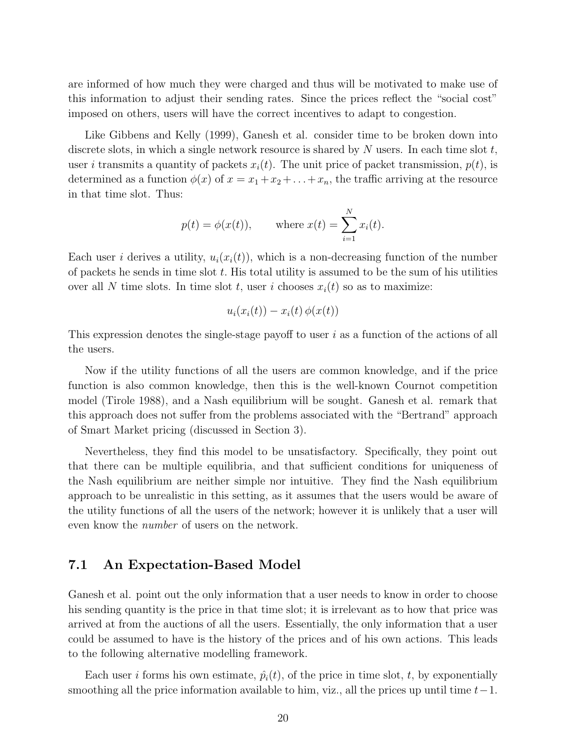are informed of how much they were charged and thus will be motivated to make use of this information to adjust their sending rates. Since the prices reflect the "social cost" imposed on others, users will have the correct incentives to adapt to congestion.

Like Gibbens and Kelly (1999), Ganesh et al. consider time to be broken down into discrete slots, in which a single network resource is shared by  $N$  users. In each time slot  $t$ , user *i* transmits a quantity of packets  $x_i(t)$ . The unit price of packet transmission,  $p(t)$ , is determined as a function  $\phi(x)$  of  $x = x_1 + x_2 + \ldots + x_n$ , the traffic arriving at the resource in that time slot. Thus:

$$
p(t) = \phi(x(t)),
$$
 where  $x(t) = \sum_{i=1}^{N} x_i(t).$ 

Each user i derives a utility,  $u_i(x_i(t))$ , which is a non-decreasing function of the number of packets he sends in time slot  $t$ . His total utility is assumed to be the sum of his utilities over all N time slots. In time slot t, user i chooses  $x_i(t)$  so as to maximize:

$$
u_i(x_i(t)) - x_i(t) \phi(x(t))
$$

This expression denotes the single-stage payoff to user  $i$  as a function of the actions of all the users.

Now if the utility functions of all the users are common knowledge, and if the price function is also common knowledge, then this is the well-known Cournot competition model (Tirole 1988), and a Nash equilibrium will be sought. Ganesh et al. remark that this approach does not suffer from the problems associated with the "Bertrand" approach of Smart Market pricing (discussed in Section 3).

Nevertheless, they find this model to be unsatisfactory. Specifically, they point out that there can be multiple equilibria, and that sufficient conditions for uniqueness of the Nash equilibrium are neither simple nor intuitive. They find the Nash equilibrium approach to be unrealistic in this setting, as it assumes that the users would be aware of the utility functions of all the users of the network; however it is unlikely that a user will even know the number of users on the network.

#### 7.1 An Expectation-Based Model

Ganesh et al. point out the only information that a user needs to know in order to choose his sending quantity is the price in that time slot; it is irrelevant as to how that price was arrived at from the auctions of all the users. Essentially, the only information that a user could be assumed to have is the history of the prices and of his own actions. This leads to the following alternative modelling framework.

Each user i forms his own estimate,  $\hat{p}_i(t)$ , of the price in time slot, t, by exponentially smoothing all the price information available to him, viz., all the prices up until time  $t-1$ .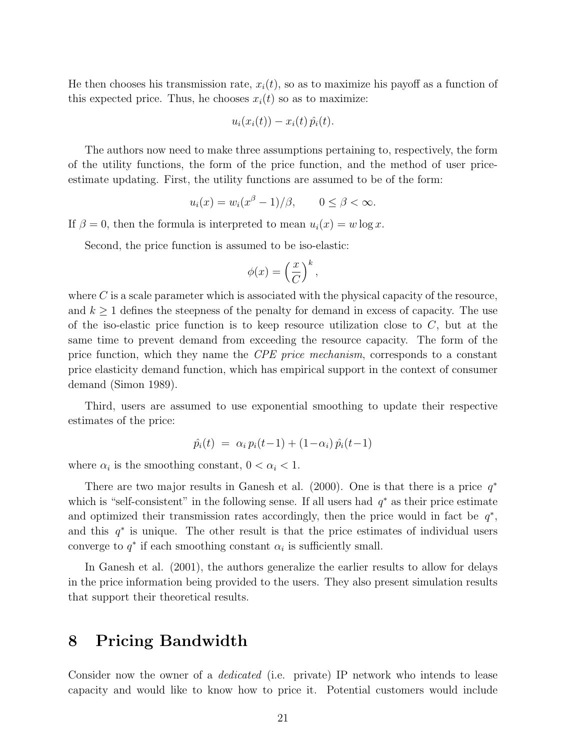He then chooses his transmission rate,  $x_i(t)$ , so as to maximize his payoff as a function of this expected price. Thus, he chooses  $x_i(t)$  so as to maximize:

$$
u_i(x_i(t)) - x_i(t)\,\hat{p_i}(t).
$$

The authors now need to make three assumptions pertaining to, respectively, the form of the utility functions, the form of the price function, and the method of user priceestimate updating. First, the utility functions are assumed to be of the form:

$$
u_i(x) = w_i(x^{\beta} - 1)/\beta, \qquad 0 \le \beta < \infty.
$$

If  $\beta = 0$ , then the formula is interpreted to mean  $u_i(x) = w \log x$ .

Second, the price function is assumed to be iso-elastic:

$$
\phi(x) = \left(\frac{x}{C}\right)^k,
$$

where  $C$  is a scale parameter which is associated with the physical capacity of the resource, and  $k \geq 1$  defines the steepness of the penalty for demand in excess of capacity. The use of the iso-elastic price function is to keep resource utilization close to  $C$ , but at the same time to prevent demand from exceeding the resource capacity. The form of the price function, which they name the CPE price mechanism, corresponds to a constant price elasticity demand function, which has empirical support in the context of consumer demand (Simon 1989).

Third, users are assumed to use exponential smoothing to update their respective estimates of the price:

$$
\hat{p}_i(t) = \alpha_i p_i(t-1) + (1-\alpha_i) \hat{p}_i(t-1)
$$

where  $\alpha_i$  is the smoothing constant,  $0 < \alpha_i < 1$ .

There are two major results in Ganesh et al.  $(2000)$ . One is that there is a price  $q^*$ which is "self-consistent" in the following sense. If all users had  $q^*$  as their price estimate and optimized their transmission rates accordingly, then the price would in fact be  $q^*$ , and this  $q^*$  is unique. The other result is that the price estimates of individual users converge to  $q^*$  if each smoothing constant  $\alpha_i$  is sufficiently small.

In Ganesh et al. (2001), the authors generalize the earlier results to allow for delays in the price information being provided to the users. They also present simulation results that support their theoretical results.

## 8 Pricing Bandwidth

Consider now the owner of a dedicated (i.e. private) IP network who intends to lease capacity and would like to know how to price it. Potential customers would include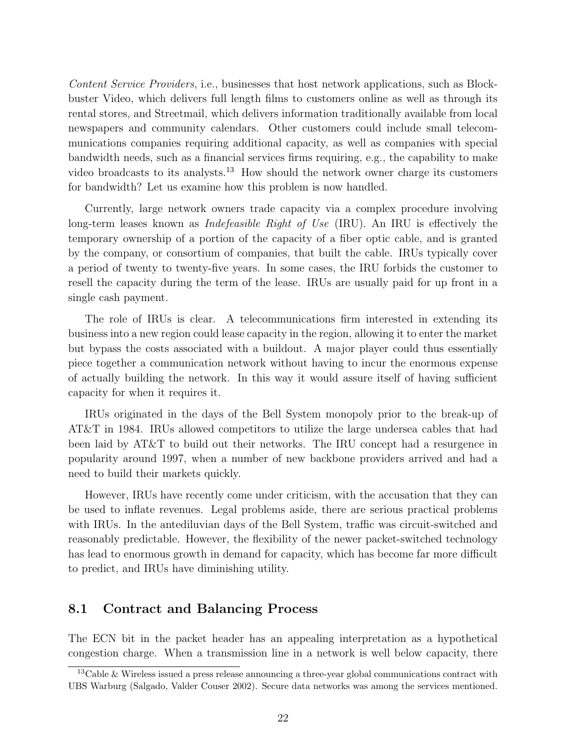Content Service Providers, i.e., businesses that host network applications, such as Blockbuster Video, which delivers full length films to customers online as well as through its rental stores, and Streetmail, which delivers information traditionally available from local newspapers and community calendars. Other customers could include small telecommunications companies requiring additional capacity, as well as companies with special bandwidth needs, such as a financial services firms requiring, e.g., the capability to make video broadcasts to its analysts.<sup>13</sup> How should the network owner charge its customers for bandwidth? Let us examine how this problem is now handled.

Currently, large network owners trade capacity via a complex procedure involving long-term leases known as *Indefeasible Right of Use* (IRU). An IRU is effectively the temporary ownership of a portion of the capacity of a fiber optic cable, and is granted by the company, or consortium of companies, that built the cable. IRUs typically cover a period of twenty to twenty-five years. In some cases, the IRU forbids the customer to resell the capacity during the term of the lease. IRUs are usually paid for up front in a single cash payment.

The role of IRUs is clear. A telecommunications firm interested in extending its business into a new region could lease capacity in the region, allowing it to enter the market but bypass the costs associated with a buildout. A major player could thus essentially piece together a communication network without having to incur the enormous expense of actually building the network. In this way it would assure itself of having sufficient capacity for when it requires it.

IRUs originated in the days of the Bell System monopoly prior to the break-up of AT&T in 1984. IRUs allowed competitors to utilize the large undersea cables that had been laid by AT&T to build out their networks. The IRU concept had a resurgence in popularity around 1997, when a number of new backbone providers arrived and had a need to build their markets quickly.

However, IRUs have recently come under criticism, with the accusation that they can be used to inflate revenues. Legal problems aside, there are serious practical problems with IRUs. In the antediluvian days of the Bell System, traffic was circuit-switched and reasonably predictable. However, the flexibility of the newer packet-switched technology has lead to enormous growth in demand for capacity, which has become far more difficult to predict, and IRUs have diminishing utility.

#### 8.1 Contract and Balancing Process

The ECN bit in the packet header has an appealing interpretation as a hypothetical congestion charge. When a transmission line in a network is well below capacity, there

<sup>&</sup>lt;sup>13</sup>Cable & Wireless issued a press release announcing a three-year global communications contract with UBS Warburg (Salgado, Valder Couser 2002). Secure data networks was among the services mentioned.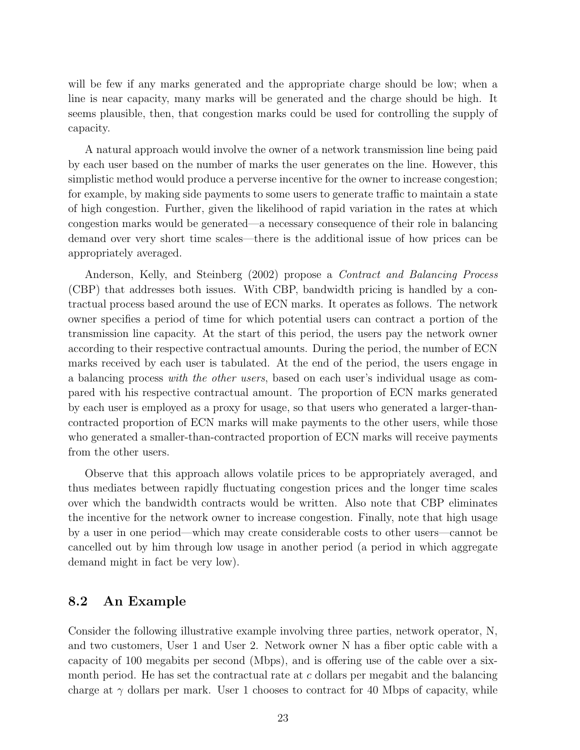will be few if any marks generated and the appropriate charge should be low; when a line is near capacity, many marks will be generated and the charge should be high. It seems plausible, then, that congestion marks could be used for controlling the supply of capacity.

A natural approach would involve the owner of a network transmission line being paid by each user based on the number of marks the user generates on the line. However, this simplistic method would produce a perverse incentive for the owner to increase congestion; for example, by making side payments to some users to generate traffic to maintain a state of high congestion. Further, given the likelihood of rapid variation in the rates at which congestion marks would be generated—a necessary consequence of their role in balancing demand over very short time scales—there is the additional issue of how prices can be appropriately averaged.

Anderson, Kelly, and Steinberg (2002) propose a *Contract and Balancing Process* (CBP) that addresses both issues. With CBP, bandwidth pricing is handled by a contractual process based around the use of ECN marks. It operates as follows. The network owner specifies a period of time for which potential users can contract a portion of the transmission line capacity. At the start of this period, the users pay the network owner according to their respective contractual amounts. During the period, the number of ECN marks received by each user is tabulated. At the end of the period, the users engage in a balancing process with the other users, based on each user's individual usage as compared with his respective contractual amount. The proportion of ECN marks generated by each user is employed as a proxy for usage, so that users who generated a larger-thancontracted proportion of ECN marks will make payments to the other users, while those who generated a smaller-than-contracted proportion of ECN marks will receive payments from the other users.

Observe that this approach allows volatile prices to be appropriately averaged, and thus mediates between rapidly fluctuating congestion prices and the longer time scales over which the bandwidth contracts would be written. Also note that CBP eliminates the incentive for the network owner to increase congestion. Finally, note that high usage by a user in one period—which may create considerable costs to other users—cannot be cancelled out by him through low usage in another period (a period in which aggregate demand might in fact be very low).

#### 8.2 An Example

Consider the following illustrative example involving three parties, network operator, N, and two customers, User 1 and User 2. Network owner N has a fiber optic cable with a capacity of 100 megabits per second (Mbps), and is offering use of the cable over a sixmonth period. He has set the contractual rate at  $c$  dollars per megabit and the balancing charge at  $\gamma$  dollars per mark. User 1 chooses to contract for 40 Mbps of capacity, while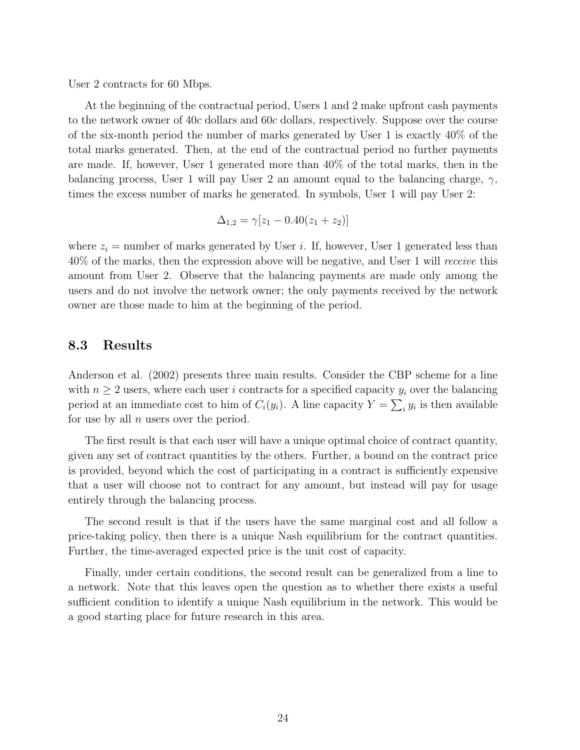User 2 contracts for 60 Mbps.

At the beginning of the contractual period, Users 1 and 2 make upfront cash payments to the network owner of 40c dollars and 60c dollars, respectively. Suppose over the course of the six-month period the number of marks generated by User 1 is exactly 40% of the total marks generated. Then, at the end of the contractual period no further payments are made. If, however, User 1 generated more than 40% of the total marks, then in the balancing process, User 1 will pay User 2 an amount equal to the balancing charge,  $\gamma$ , times the excess number of marks he generated. In symbols, User 1 will pay User 2:

$$
\Delta_{1,2} = \gamma [z_1 - 0.40(z_1 + z_2)]
$$

where  $z_i$  = number of marks generated by User *i*. If, however, User 1 generated less than 40% of the marks, then the expression above will be negative, and User 1 will receive this amount from User 2. Observe that the balancing payments are made only among the users and do not involve the network owner; the only payments received by the network owner are those made to him at the beginning of the period.

#### 8.3 Results

Anderson et al. (2002) presents three main results. Consider the CBP scheme for a line with  $n \geq 2$  users, where each user i contracts for a specified capacity  $y_i$  over the balancing period at an immediate cost to him of  $C_i(y_i)$ . A line capacity  $Y = \sum_i y_i$  is then available for use by all  $n$  users over the period.

The first result is that each user will have a unique optimal choice of contract quantity, given any set of contract quantities by the others. Further, a bound on the contract price is provided, beyond which the cost of participating in a contract is sufficiently expensive that a user will choose not to contract for any amount, but instead will pay for usage entirely through the balancing process.

The second result is that if the users have the same marginal cost and all follow a price-taking policy, then there is a unique Nash equilibrium for the contract quantities. Further, the time-averaged expected price is the unit cost of capacity.

Finally, under certain conditions, the second result can be generalized from a line to a network. Note that this leaves open the question as to whether there exists a useful sufficient condition to identify a unique Nash equilibrium in the network. This would be a good starting place for future research in this area.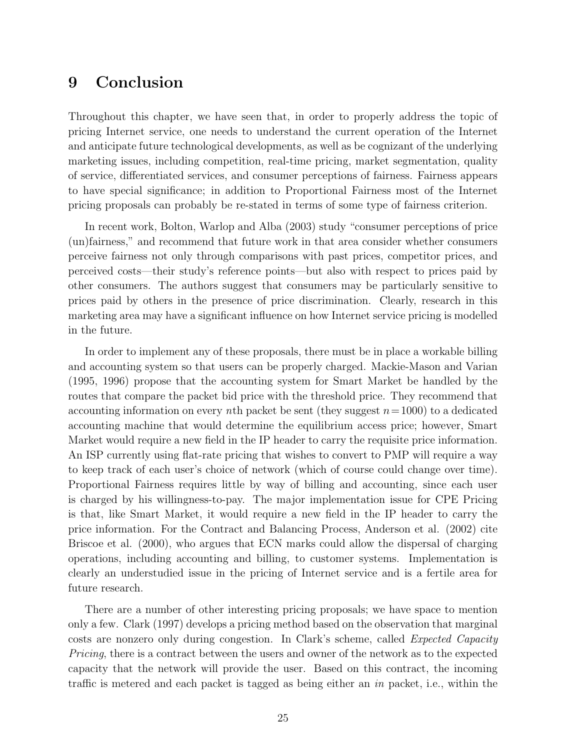## 9 Conclusion

Throughout this chapter, we have seen that, in order to properly address the topic of pricing Internet service, one needs to understand the current operation of the Internet and anticipate future technological developments, as well as be cognizant of the underlying marketing issues, including competition, real-time pricing, market segmentation, quality of service, differentiated services, and consumer perceptions of fairness. Fairness appears to have special significance; in addition to Proportional Fairness most of the Internet pricing proposals can probably be re-stated in terms of some type of fairness criterion.

In recent work, Bolton, Warlop and Alba (2003) study "consumer perceptions of price (un)fairness," and recommend that future work in that area consider whether consumers perceive fairness not only through comparisons with past prices, competitor prices, and perceived costs—their study's reference points—but also with respect to prices paid by other consumers. The authors suggest that consumers may be particularly sensitive to prices paid by others in the presence of price discrimination. Clearly, research in this marketing area may have a significant influence on how Internet service pricing is modelled in the future.

In order to implement any of these proposals, there must be in place a workable billing and accounting system so that users can be properly charged. Mackie-Mason and Varian (1995, 1996) propose that the accounting system for Smart Market be handled by the routes that compare the packet bid price with the threshold price. They recommend that accounting information on every nth packet be sent (they suggest  $n=1000$ ) to a dedicated accounting machine that would determine the equilibrium access price; however, Smart Market would require a new field in the IP header to carry the requisite price information. An ISP currently using flat-rate pricing that wishes to convert to PMP will require a way to keep track of each user's choice of network (which of course could change over time). Proportional Fairness requires little by way of billing and accounting, since each user is charged by his willingness-to-pay. The major implementation issue for CPE Pricing is that, like Smart Market, it would require a new field in the IP header to carry the price information. For the Contract and Balancing Process, Anderson et al. (2002) cite Briscoe et al. (2000), who argues that ECN marks could allow the dispersal of charging operations, including accounting and billing, to customer systems. Implementation is clearly an understudied issue in the pricing of Internet service and is a fertile area for future research.

There are a number of other interesting pricing proposals; we have space to mention only a few. Clark (1997) develops a pricing method based on the observation that marginal costs are nonzero only during congestion. In Clark's scheme, called Expected Capacity Pricing, there is a contract between the users and owner of the network as to the expected capacity that the network will provide the user. Based on this contract, the incoming traffic is metered and each packet is tagged as being either an in packet, i.e., within the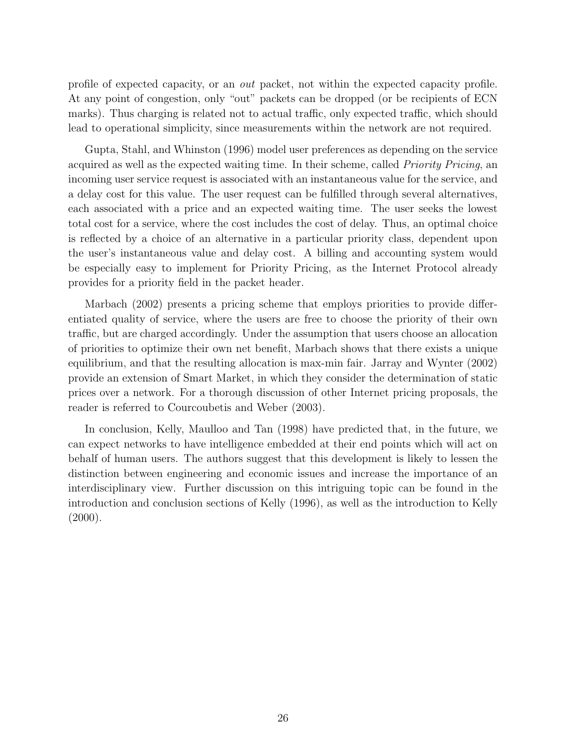profile of expected capacity, or an out packet, not within the expected capacity profile. At any point of congestion, only "out" packets can be dropped (or be recipients of ECN marks). Thus charging is related not to actual traffic, only expected traffic, which should lead to operational simplicity, since measurements within the network are not required.

Gupta, Stahl, and Whinston (1996) model user preferences as depending on the service acquired as well as the expected waiting time. In their scheme, called *Priority Pricing*, an incoming user service request is associated with an instantaneous value for the service, and a delay cost for this value. The user request can be fulfilled through several alternatives, each associated with a price and an expected waiting time. The user seeks the lowest total cost for a service, where the cost includes the cost of delay. Thus, an optimal choice is reflected by a choice of an alternative in a particular priority class, dependent upon the user's instantaneous value and delay cost. A billing and accounting system would be especially easy to implement for Priority Pricing, as the Internet Protocol already provides for a priority field in the packet header.

Marbach (2002) presents a pricing scheme that employs priorities to provide differentiated quality of service, where the users are free to choose the priority of their own traffic, but are charged accordingly. Under the assumption that users choose an allocation of priorities to optimize their own net benefit, Marbach shows that there exists a unique equilibrium, and that the resulting allocation is max-min fair. Jarray and Wynter (2002) provide an extension of Smart Market, in which they consider the determination of static prices over a network. For a thorough discussion of other Internet pricing proposals, the reader is referred to Courcoubetis and Weber (2003).

In conclusion, Kelly, Maulloo and Tan (1998) have predicted that, in the future, we can expect networks to have intelligence embedded at their end points which will act on behalf of human users. The authors suggest that this development is likely to lessen the distinction between engineering and economic issues and increase the importance of an interdisciplinary view. Further discussion on this intriguing topic can be found in the introduction and conclusion sections of Kelly (1996), as well as the introduction to Kelly  $(2000).$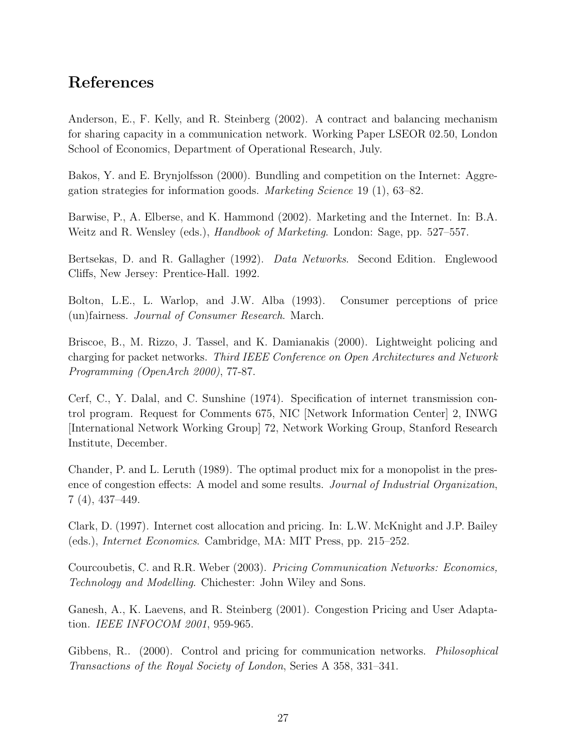## References

Anderson, E., F. Kelly, and R. Steinberg (2002). A contract and balancing mechanism for sharing capacity in a communication network. Working Paper LSEOR 02.50, London School of Economics, Department of Operational Research, July.

Bakos, Y. and E. Brynjolfsson (2000). Bundling and competition on the Internet: Aggregation strategies for information goods. Marketing Science 19 (1), 63–82.

Barwise, P., A. Elberse, and K. Hammond (2002). Marketing and the Internet. In: B.A. Weitz and R. Wensley (eds.), *Handbook of Marketing*. London: Sage, pp. 527–557.

Bertsekas, D. and R. Gallagher (1992). Data Networks. Second Edition. Englewood Cliffs, New Jersey: Prentice-Hall. 1992.

Bolton, L.E., L. Warlop, and J.W. Alba (1993). Consumer perceptions of price (un)fairness. Journal of Consumer Research. March.

Briscoe, B., M. Rizzo, J. Tassel, and K. Damianakis (2000). Lightweight policing and charging for packet networks. Third IEEE Conference on Open Architectures and Network Programming (OpenArch 2000), 77-87.

Cerf, C., Y. Dalal, and C. Sunshine (1974). Specification of internet transmission control program. Request for Comments 675, NIC [Network Information Center] 2, INWG [International Network Working Group] 72, Network Working Group, Stanford Research Institute, December.

Chander, P. and L. Leruth (1989). The optimal product mix for a monopolist in the presence of congestion effects: A model and some results. Journal of Industrial Organization, 7 (4), 437–449.

Clark, D. (1997). Internet cost allocation and pricing. In: L.W. McKnight and J.P. Bailey (eds.), Internet Economics. Cambridge, MA: MIT Press, pp. 215–252.

Courcoubetis, C. and R.R. Weber (2003). Pricing Communication Networks: Economics, Technology and Modelling. Chichester: John Wiley and Sons.

Ganesh, A., K. Laevens, and R. Steinberg (2001). Congestion Pricing and User Adaptation. IEEE INFOCOM 2001, 959-965.

Gibbens, R.. (2000). Control and pricing for communication networks. *Philosophical* Transactions of the Royal Society of London, Series A 358, 331–341.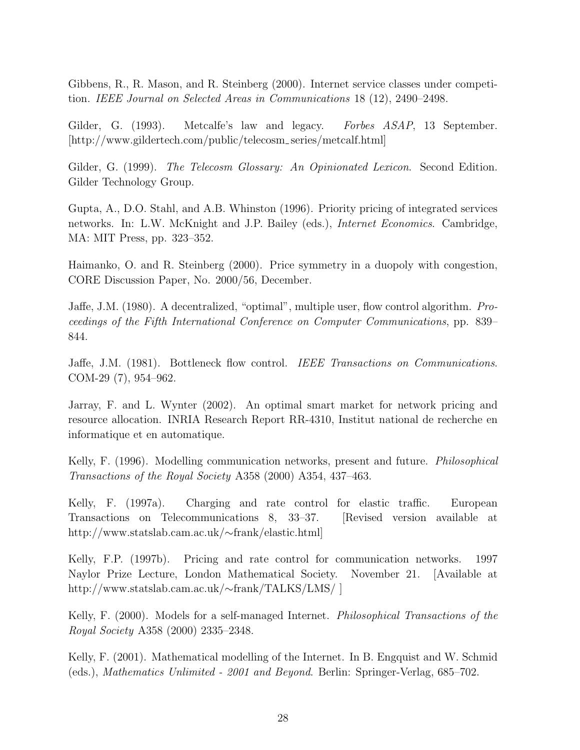Gibbens, R., R. Mason, and R. Steinberg (2000). Internet service classes under competition. IEEE Journal on Selected Areas in Communications 18 (12), 2490–2498.

Gilder, G. (1993). Metcalfe's law and legacy. *Forbes ASAP*, 13 September. [http://www.gildertech.com/public/telecosm\_series/metcalf.html]

Gilder, G. (1999). The Telecosm Glossary: An Opinionated Lexicon. Second Edition. Gilder Technology Group.

Gupta, A., D.O. Stahl, and A.B. Whinston (1996). Priority pricing of integrated services networks. In: L.W. McKnight and J.P. Bailey (eds.), Internet Economics. Cambridge, MA: MIT Press, pp. 323–352.

Haimanko, O. and R. Steinberg (2000). Price symmetry in a duopoly with congestion, CORE Discussion Paper, No. 2000/56, December.

Jaffe, J.M. (1980). A decentralized, "optimal", multiple user, flow control algorithm. Proceedings of the Fifth International Conference on Computer Communications, pp. 839– 844.

Jaffe, J.M. (1981). Bottleneck flow control. IEEE Transactions on Communications. COM-29 (7), 954–962.

Jarray, F. and L. Wynter (2002). An optimal smart market for network pricing and resource allocation. INRIA Research Report RR-4310, Institut national de recherche en informatique et en automatique.

Kelly, F. (1996). Modelling communication networks, present and future. *Philosophical* Transactions of the Royal Society A358 (2000) A354, 437–463.

Kelly, F. (1997a). Charging and rate control for elastic traffic. European Transactions on Telecommunications 8, 33–37. [Revised version available at http://www.statslab.cam.ac.uk/∼frank/elastic.html]

Kelly, F.P. (1997b). Pricing and rate control for communication networks. 1997 Naylor Prize Lecture, London Mathematical Society. November 21. [Available at http://www.statslab.cam.ac.uk/∼frank/TALKS/LMS/ ]

Kelly, F. (2000). Models for a self-managed Internet. Philosophical Transactions of the Royal Society A358 (2000) 2335–2348.

Kelly, F. (2001). Mathematical modelling of the Internet. In B. Engquist and W. Schmid (eds.), Mathematics Unlimited - 2001 and Beyond. Berlin: Springer-Verlag, 685–702.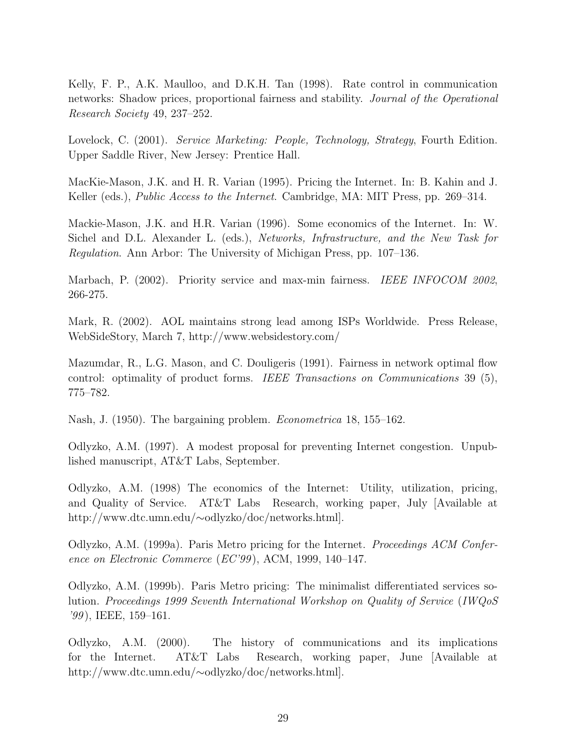Kelly, F. P., A.K. Maulloo, and D.K.H. Tan (1998). Rate control in communication networks: Shadow prices, proportional fairness and stability. Journal of the Operational Research Society 49, 237–252.

Lovelock, C. (2001). *Service Marketing: People, Technology, Strategy*, Fourth Edition. Upper Saddle River, New Jersey: Prentice Hall.

MacKie-Mason, J.K. and H. R. Varian (1995). Pricing the Internet. In: B. Kahin and J. Keller (eds.), *Public Access to the Internet.* Cambridge, MA: MIT Press, pp. 269–314.

Mackie-Mason, J.K. and H.R. Varian (1996). Some economics of the Internet. In: W. Sichel and D.L. Alexander L. (eds.), Networks, Infrastructure, and the New Task for Regulation. Ann Arbor: The University of Michigan Press, pp. 107–136.

Marbach, P. (2002). Priority service and max-min fairness. *IEEE INFOCOM 2002*, 266-275.

Mark, R. (2002). AOL maintains strong lead among ISPs Worldwide. Press Release, WebSideStory, March 7, http://www.websidestory.com/

Mazumdar, R., L.G. Mason, and C. Douligeris (1991). Fairness in network optimal flow control: optimality of product forms. IEEE Transactions on Communications 39 (5), 775–782.

Nash, J. (1950). The bargaining problem. Econometrica 18, 155–162.

Odlyzko, A.M. (1997). A modest proposal for preventing Internet congestion. Unpublished manuscript, AT&T Labs, September.

Odlyzko, A.M. (1998) The economics of the Internet: Utility, utilization, pricing, and Quality of Service. AT&T Labs Research, working paper, July [Available at http://www.dtc.umn.edu/∼odlyzko/doc/networks.html].

Odlyzko, A.M. (1999a). Paris Metro pricing for the Internet. Proceedings ACM Conference on Electronic Commerce (EC'99 ), ACM, 1999, 140–147.

Odlyzko, A.M. (1999b). Paris Metro pricing: The minimalist differentiated services solution. Proceedings 1999 Seventh International Workshop on Quality of Service (IWQoS '99 ), IEEE, 159–161.

Odlyzko, A.M. (2000). The history of communications and its implications for the Internet. AT&T Labs Research, working paper, June [Available at http://www.dtc.umn.edu/∼odlyzko/doc/networks.html].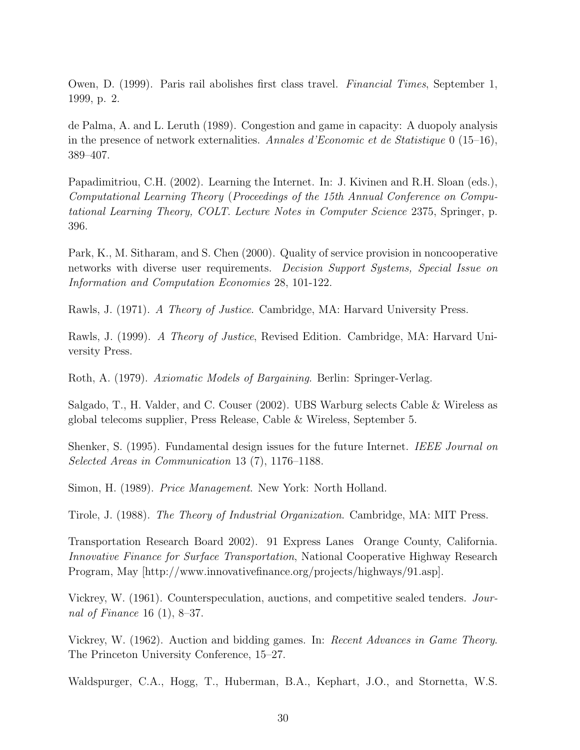Owen, D. (1999). Paris rail abolishes first class travel. Financial Times, September 1, 1999, p. 2.

de Palma, A. and L. Leruth (1989). Congestion and game in capacity: A duopoly analysis in the presence of network externalities. Annales d'Economic et de Statistique 0 (15–16), 389–407.

Papadimitriou, C.H. (2002). Learning the Internet. In: J. Kivinen and R.H. Sloan (eds.), Computational Learning Theory (Proceedings of the 15th Annual Conference on Computational Learning Theory, COLT. Lecture Notes in Computer Science 2375, Springer, p. 396.

Park, K., M. Sitharam, and S. Chen (2000). Quality of service provision in noncooperative networks with diverse user requirements. Decision Support Systems, Special Issue on Information and Computation Economies 28, 101-122.

Rawls, J. (1971). A Theory of Justice. Cambridge, MA: Harvard University Press.

Rawls, J. (1999). A Theory of Justice, Revised Edition. Cambridge, MA: Harvard University Press.

Roth, A. (1979). Axiomatic Models of Bargaining. Berlin: Springer-Verlag.

Salgado, T., H. Valder, and C. Couser (2002). UBS Warburg selects Cable & Wireless as global telecoms supplier, Press Release, Cable & Wireless, September 5.

Shenker, S. (1995). Fundamental design issues for the future Internet. IEEE Journal on Selected Areas in Communication 13 (7), 1176–1188.

Simon, H. (1989). Price Management. New York: North Holland.

Tirole, J. (1988). The Theory of Industrial Organization. Cambridge, MA: MIT Press.

Transportation Research Board 2002). 91 Express Lanes Orange County, California. Innovative Finance for Surface Transportation, National Cooperative Highway Research Program, May [http://www.innovativefinance.org/projects/highways/91.asp].

Vickrey, W. (1961). Counterspeculation, auctions, and competitive sealed tenders. Journal of Finance 16 (1), 8–37.

Vickrey, W. (1962). Auction and bidding games. In: Recent Advances in Game Theory. The Princeton University Conference, 15–27.

Waldspurger, C.A., Hogg, T., Huberman, B.A., Kephart, J.O., and Stornetta, W.S.